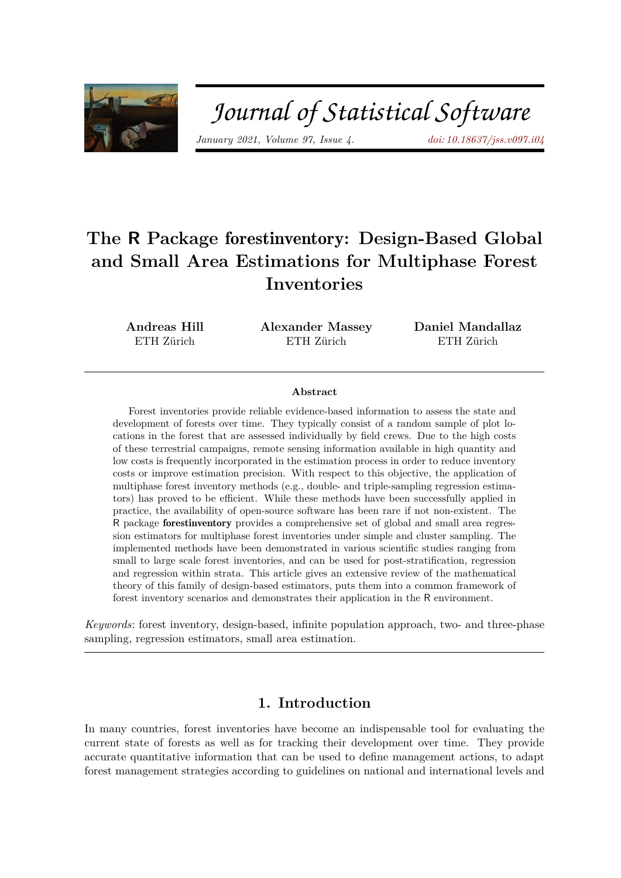

# Journal of Statistical Software

*January 2021, Volume 97, Issue 4. [doi: 10.18637/jss.v097.i04](https://doi.org/10.18637/jss.v097.i04)*

## **The R Package** forestinventory**: Design-Based Global and Small Area Estimations for Multiphase Forest Inventories**

**Andreas Hill** ETH Zürich

**Alexander Massey** ETH Zürich

**Daniel Mandallaz** ETH Zürich

#### **Abstract**

Forest inventories provide reliable evidence-based information to assess the state and development of forests over time. They typically consist of a random sample of plot locations in the forest that are assessed individually by field crews. Due to the high costs of these terrestrial campaigns, remote sensing information available in high quantity and low costs is frequently incorporated in the estimation process in order to reduce inventory costs or improve estimation precision. With respect to this objective, the application of multiphase forest inventory methods (e.g., double- and triple-sampling regression estimators) has proved to be efficient. While these methods have been successfully applied in practice, the availability of open-source software has been rare if not non-existent. The R package forestinventory provides a comprehensive set of global and small area regression estimators for multiphase forest inventories under simple and cluster sampling. The implemented methods have been demonstrated in various scientific studies ranging from small to large scale forest inventories, and can be used for post-stratification, regression and regression within strata. This article gives an extensive review of the mathematical theory of this family of design-based estimators, puts them into a common framework of forest inventory scenarios and demonstrates their application in the R environment.

*Keywords*: forest inventory, design-based, infinite population approach, two- and three-phase sampling, regression estimators, small area estimation.

## **1. Introduction**

In many countries, forest inventories have become an indispensable tool for evaluating the current state of forests as well as for tracking their development over time. They provide accurate quantitative information that can be used to define management actions, to adapt forest management strategies according to guidelines on national and international levels and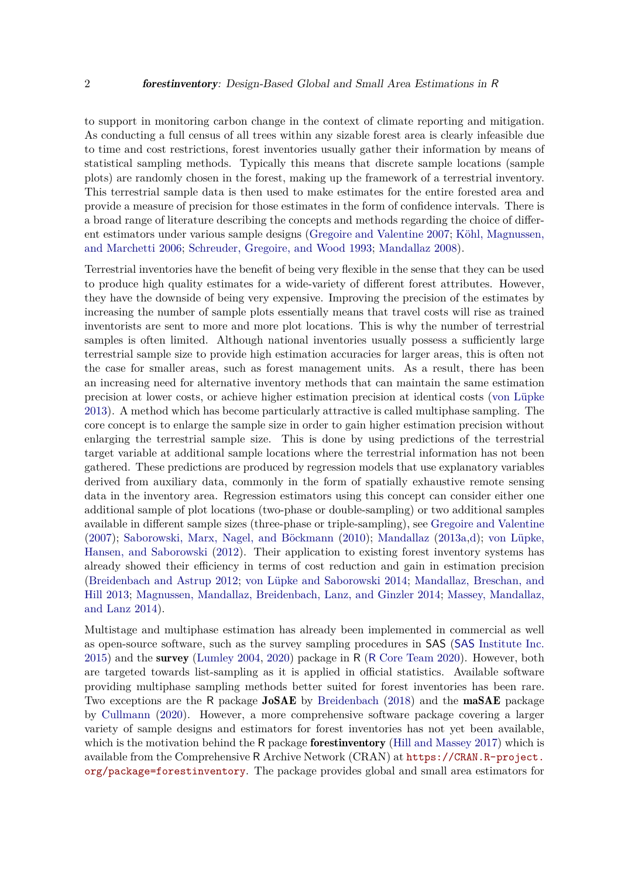to support in monitoring carbon change in the context of climate reporting and mitigation. As conducting a full census of all trees within any sizable forest area is clearly infeasible due to time and cost restrictions, forest inventories usually gather their information by means of statistical sampling methods. Typically this means that discrete sample locations (sample plots) are randomly chosen in the forest, making up the framework of a terrestrial inventory. This terrestrial sample data is then used to make estimates for the entire forested area and provide a measure of precision for those estimates in the form of confidence intervals. There is a broad range of literature describing the concepts and methods regarding the choice of different estimators under various sample designs [\(Gregoire and Valentine 2007;](#page-37-0) [Köhl, Magnussen,](#page-37-1) [and Marchetti 2006;](#page-37-1) [Schreuder, Gregoire, and Wood 1993;](#page-39-0) [Mandallaz 2008\)](#page-37-2).

Terrestrial inventories have the benefit of being very flexible in the sense that they can be used to produce high quality estimates for a wide-variety of different forest attributes. However, they have the downside of being very expensive. Improving the precision of the estimates by increasing the number of sample plots essentially means that travel costs will rise as trained inventorists are sent to more and more plot locations. This is why the number of terrestrial samples is often limited. Although national inventories usually possess a sufficiently large terrestrial sample size to provide high estimation accuracies for larger areas, this is often not the case for smaller areas, such as forest management units. As a result, there has been an increasing need for alternative inventory methods that can maintain the same estimation precision at lower costs, or achieve higher estimation precision at identical costs [\(von Lüpke](#page-39-1) [2013\)](#page-39-1). A method which has become particularly attractive is called multiphase sampling. The core concept is to enlarge the sample size in order to gain higher estimation precision without enlarging the terrestrial sample size. This is done by using predictions of the terrestrial target variable at additional sample locations where the terrestrial information has not been gathered. These predictions are produced by regression models that use explanatory variables derived from auxiliary data, commonly in the form of spatially exhaustive remote sensing data in the inventory area. Regression estimators using this concept can consider either one additional sample of plot locations (two-phase or double-sampling) or two additional samples available in different sample sizes (three-phase or triple-sampling), see [Gregoire and Valentine](#page-37-0) [\(2007\)](#page-37-0); [Saborowski, Marx, Nagel, and Böckmann](#page-38-0) [\(2010\)](#page-38-0); [Mandallaz](#page-37-3) [\(2013a,](#page-37-3)[d\)](#page-38-1); [von Lüpke,](#page-39-2) [Hansen, and Saborowski](#page-39-2) [\(2012\)](#page-39-2). Their application to existing forest inventory systems has already showed their efficiency in terms of cost reduction and gain in estimation precision [\(Breidenbach and Astrup 2012;](#page-36-0) [von Lüpke and Saborowski 2014;](#page-39-3) [Mandallaz, Breschan, and](#page-38-2) [Hill 2013;](#page-38-2) [Magnussen, Mandallaz, Breidenbach, Lanz, and Ginzler 2014;](#page-37-4) [Massey, Mandallaz,](#page-38-3) [and Lanz 2014\)](#page-38-3).

Multistage and multiphase estimation has already been implemented in commercial as well as open-source software, such as the survey sampling procedures in SAS (SAS [Institute Inc.](#page-39-4) [2015\)](#page-39-4) and the survey [\(Lumley 2004,](#page-37-5) [2020\)](#page-37-6) package in R (R [Core Team 2020\)](#page-38-4). However, both are targeted towards list-sampling as it is applied in official statistics. Available software providing multiphase sampling methods better suited for forest inventories has been rare. Two exceptions are the R package JoSAE by [Breidenbach](#page-36-1) [\(2018\)](#page-36-1) and the maSAE package by [Cullmann](#page-36-2) [\(2020\)](#page-36-2). However, a more comprehensive software package covering a larger variety of sample designs and estimators for forest inventories has not yet been available, which is the motivation behind the R package **forestinventory** [\(Hill and Massey 2017\)](#page-37-7) which is available from the Comprehensive R Archive Network (CRAN) at [https://CRAN.R-project.](https://CRAN.R-project.org/package=forestinventory) [org/package=forestinventory](https://CRAN.R-project.org/package=forestinventory). The package provides global and small area estimators for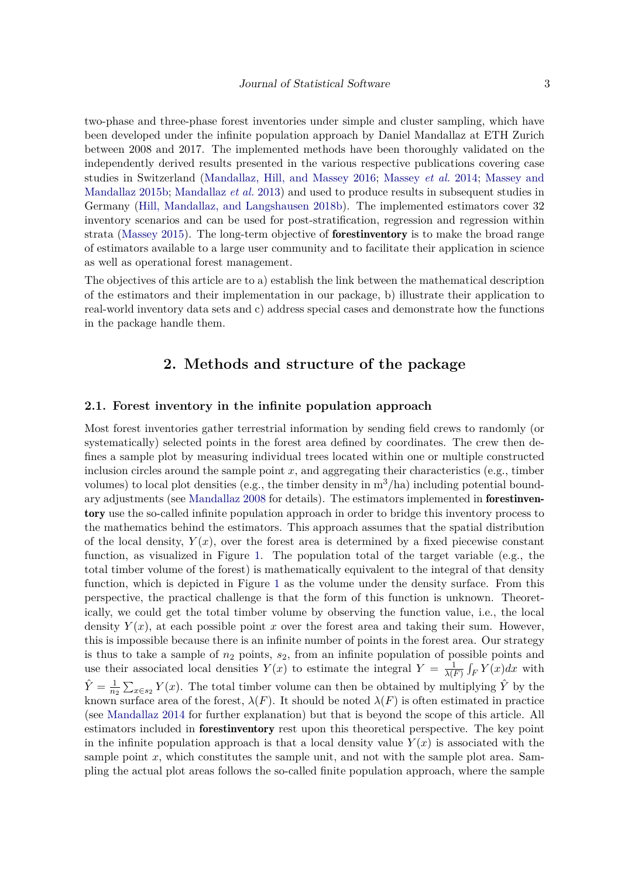two-phase and three-phase forest inventories under simple and cluster sampling, which have been developed under the infinite population approach by Daniel Mandallaz at ETH Zurich between 2008 and 2017. The implemented methods have been thoroughly validated on the independently derived results presented in the various respective publications covering case studies in Switzerland [\(Mandallaz, Hill, and Massey 2016;](#page-38-5) [Massey](#page-38-3) *et al.* [2014;](#page-38-3) [Massey and](#page-38-6) [Mandallaz 2015b;](#page-38-6) [Mandallaz](#page-38-2) *et al.* [2013\)](#page-38-2) and used to produce results in subsequent studies in Germany [\(Hill, Mandallaz, and Langshausen 2018b\)](#page-37-8). The implemented estimators cover 32 inventory scenarios and can be used for post-stratification, regression and regression within strata [\(Massey 2015\)](#page-38-7). The long-term objective of **forestiniation** is to make the broad range of estimators available to a large user community and to facilitate their application in science as well as operational forest management.

The objectives of this article are to a) establish the link between the mathematical description of the estimators and their implementation in our package, b) illustrate their application to real-world inventory data sets and c) address special cases and demonstrate how the functions in the package handle them.

## **2. Methods and structure of the package**

## <span id="page-2-0"></span>**2.1. Forest inventory in the infinite population approach**

Most forest inventories gather terrestrial information by sending field crews to randomly (or systematically) selected points in the forest area defined by coordinates. The crew then defines a sample plot by measuring individual trees located within one or multiple constructed inclusion circles around the sample point  $x$ , and aggregating their characteristics (e.g., timber volumes) to local plot densities (e.g., the timber density in  $m^3/ha$ ) including potential boundary adjustments (see [Mandallaz 2008](#page-37-2) for details). The estimators implemented in forestinventory use the so-called infinite population approach in order to bridge this inventory process to the mathematics behind the estimators. This approach assumes that the spatial distribution of the local density,  $Y(x)$ , over the forest area is determined by a fixed piecewise constant function, as visualized in Figure [1.](#page-3-0) The population total of the target variable (e.g., the total timber volume of the forest) is mathematically equivalent to the integral of that density function, which is depicted in Figure [1](#page-3-0) as the volume under the density surface. From this perspective, the practical challenge is that the form of this function is unknown. Theoretically, we could get the total timber volume by observing the function value, i.e., the local density  $Y(x)$ , at each possible point x over the forest area and taking their sum. However, this is impossible because there is an infinite number of points in the forest area. Our strategy is thus to take a sample of *n*<sup>2</sup> points, *s*2, from an infinite population of possible points and use their associated local densities  $Y(x)$  to estimate the integral  $Y = \frac{1}{\lambda(F)} \int_F Y(x) dx$  with  $\hat{Y} = \frac{1}{n_2} \sum_{x \in s_2} Y(x)$ . The total timber volume can then be obtained by multiplying  $\hat{Y}$  by the known surface area of the forest,  $\lambda(F)$ . It should be noted  $\lambda(F)$  is often estimated in practice (see [Mandallaz 2014](#page-38-8) for further explanation) but that is beyond the scope of this article. All estimators included in forestinventory rest upon this theoretical perspective. The key point in the infinite population approach is that a local density value  $Y(x)$  is associated with the sample point x, which constitutes the sample unit, and not with the sample plot area. Sampling the actual plot areas follows the so-called finite population approach, where the sample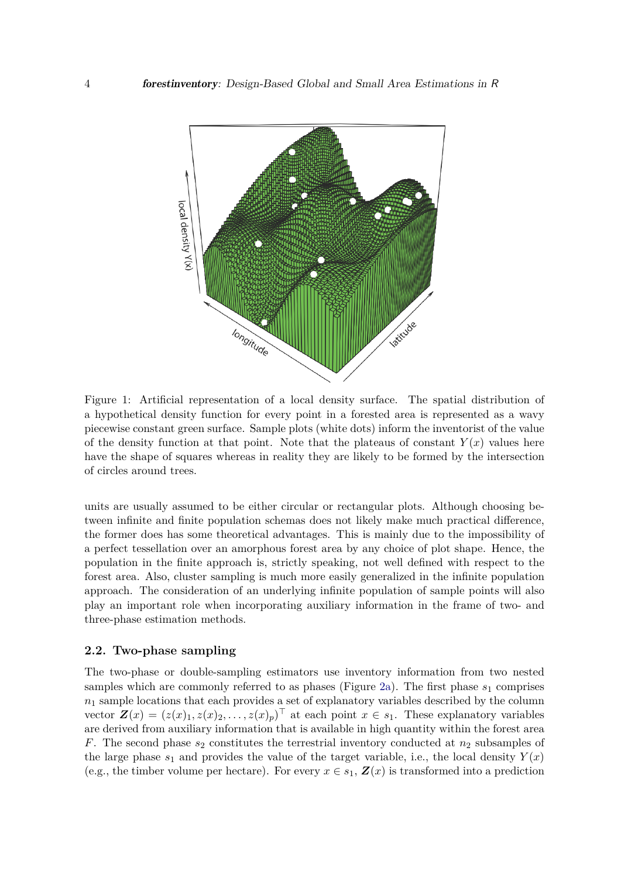<span id="page-3-0"></span>

Figure 1: Artificial representation of a local density surface. The spatial distribution of a hypothetical density function for every point in a forested area is represented as a wavy piecewise constant green surface. Sample plots (white dots) inform the inventorist of the value of the density function at that point. Note that the plateaus of constant  $Y(x)$  values here have the shape of squares whereas in reality they are likely to be formed by the intersection of circles around trees.

units are usually assumed to be either circular or rectangular plots. Although choosing between infinite and finite population schemas does not likely make much practical difference, the former does has some theoretical advantages. This is mainly due to the impossibility of a perfect tessellation over an amorphous forest area by any choice of plot shape. Hence, the population in the finite approach is, strictly speaking, not well defined with respect to the forest area. Also, cluster sampling is much more easily generalized in the infinite population approach. The consideration of an underlying infinite population of sample points will also play an important role when incorporating auxiliary information in the frame of two- and three-phase estimation methods.

## **2.2. Two-phase sampling**

The two-phase or double-sampling estimators use inventory information from two nested samples which are commonly referred to as phases (Figure [2a\)](#page-4-0). The first phase  $s_1$  comprises  $n_1$  sample locations that each provides a set of explanatory variables described by the column vector  $\mathbf{Z}(x) = (z(x)_1, z(x)_2, \ldots, z(x)_p)^\top$  at each point  $x \in s_1$ . These explanatory variables are derived from auxiliary information that is available in high quantity within the forest area *F*. The second phase  $s_2$  constitutes the terrestrial inventory conducted at  $n_2$  subsamples of the large phase  $s_1$  and provides the value of the target variable, i.e., the local density  $Y(x)$ (e.g., the timber volume per hectare). For every  $x \in s_1$ ,  $\mathbf{Z}(x)$  is transformed into a prediction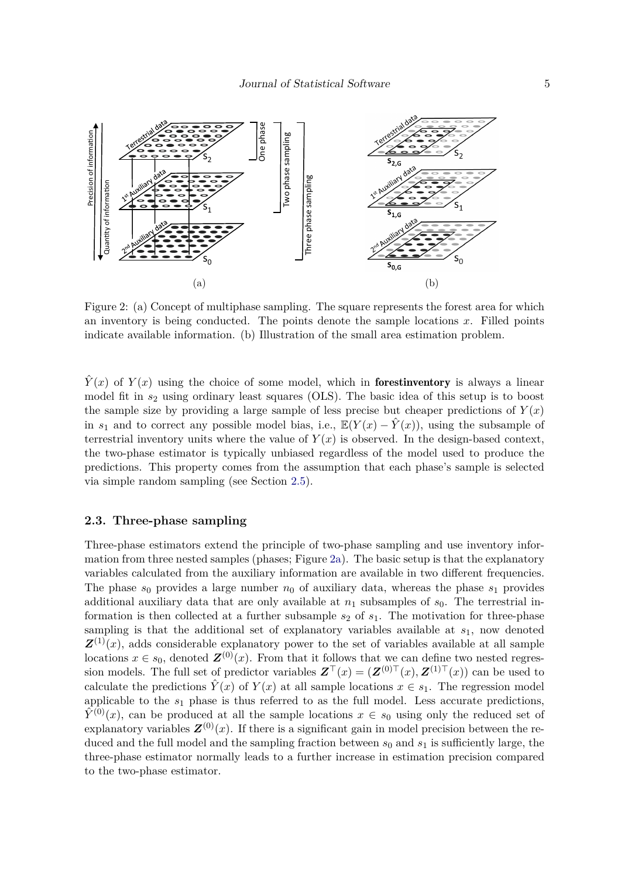<span id="page-4-0"></span>

Figure 2: (a) Concept of multiphase sampling. The square represents the forest area for which an inventory is being conducted. The points denote the sample locations *x*. Filled points indicate available information. (b) Illustration of the small area estimation problem.

 $\hat{Y}(x)$  of  $Y(x)$  using the choice of some model, which in **forestinventory** is always a linear model fit in *s*<sup>2</sup> using ordinary least squares (OLS). The basic idea of this setup is to boost the sample size by providing a large sample of less precise but cheaper predictions of  $Y(x)$ in  $s_1$  and to correct any possible model bias, i.e.,  $\mathbb{E}(Y(x) - \hat{Y}(x))$ , using the subsample of terrestrial inventory units where the value of  $Y(x)$  is observed. In the design-based context, the two-phase estimator is typically unbiased regardless of the model used to produce the predictions. This property comes from the assumption that each phase's sample is selected via simple random sampling (see Section [2.5\)](#page-5-0).

## **2.3. Three-phase sampling**

Three-phase estimators extend the principle of two-phase sampling and use inventory information from three nested samples (phases; Figure [2a\)](#page-4-0). The basic setup is that the explanatory variables calculated from the auxiliary information are available in two different frequencies. The phase  $s_0$  provides a large number  $n_0$  of auxiliary data, whereas the phase  $s_1$  provides additional auxiliary data that are only available at  $n_1$  subsamples of  $s_0$ . The terrestrial information is then collected at a further subsample  $s_2$  of  $s_1$ . The motivation for three-phase sampling is that the additional set of explanatory variables available at *s*1, now denoted  $\mathbf{Z}^{(1)}(x)$ , adds considerable explanatory power to the set of variables available at all sample locations  $x \in s_0$ , denoted  $\mathbf{Z}^{(0)}(x)$ . From that it follows that we can define two nested regression models. The full set of predictor variables  $\mathbf{Z}^\top(x) = (\mathbf{Z}^{(0)}^\top(x), \mathbf{Z}^{(1)}^\top(x))$  can be used to calculate the predictions  $\hat{Y}(x)$  of  $Y(x)$  at all sample locations  $x \in s_1$ . The regression model applicable to the *s*<sup>1</sup> phase is thus referred to as the full model. Less accurate predictions,  $\hat{Y}^{(0)}(x)$ , can be produced at all the sample locations  $x \in s_0$  using only the reduced set of explanatory variables  $\mathbf{Z}^{(0)}(x)$ . If there is a significant gain in model precision between the reduced and the full model and the sampling fraction between  $s_0$  and  $s_1$  is sufficiently large, the three-phase estimator normally leads to a further increase in estimation precision compared to the two-phase estimator.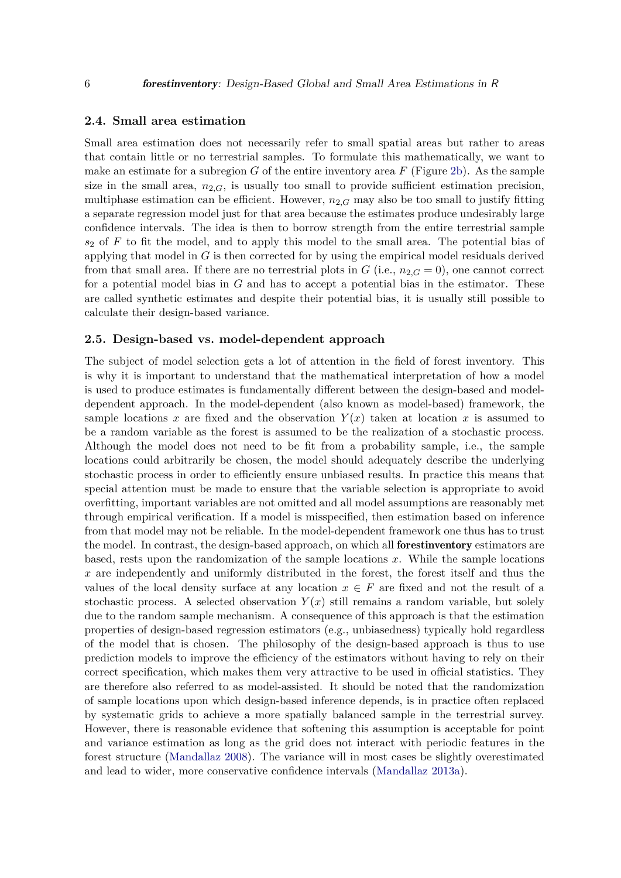## **2.4. Small area estimation**

Small area estimation does not necessarily refer to small spatial areas but rather to areas that contain little or no terrestrial samples. To formulate this mathematically, we want to make an estimate for a subregion *G* of the entire inventory area *F* (Figure [2b\)](#page-4-0). As the sample size in the small area,  $n_{2,G}$ , is usually too small to provide sufficient estimation precision, multiphase estimation can be efficient. However,  $n_{2,G}$  may also be too small to justify fitting a separate regression model just for that area because the estimates produce undesirably large confidence intervals. The idea is then to borrow strength from the entire terrestrial sample *s*<sup>2</sup> of *F* to fit the model, and to apply this model to the small area. The potential bias of applying that model in *G* is then corrected for by using the empirical model residuals derived from that small area. If there are no terrestrial plots in  $G$  (i.e.,  $n_{2,G} = 0$ ), one cannot correct for a potential model bias in *G* and has to accept a potential bias in the estimator. These are called synthetic estimates and despite their potential bias, it is usually still possible to calculate their design-based variance.

#### <span id="page-5-0"></span>**2.5. Design-based vs. model-dependent approach**

The subject of model selection gets a lot of attention in the field of forest inventory. This is why it is important to understand that the mathematical interpretation of how a model is used to produce estimates is fundamentally different between the design-based and modeldependent approach. In the model-dependent (also known as model-based) framework, the sample locations x are fixed and the observation  $Y(x)$  taken at location x is assumed to be a random variable as the forest is assumed to be the realization of a stochastic process. Although the model does not need to be fit from a probability sample, i.e., the sample locations could arbitrarily be chosen, the model should adequately describe the underlying stochastic process in order to efficiently ensure unbiased results. In practice this means that special attention must be made to ensure that the variable selection is appropriate to avoid overfitting, important variables are not omitted and all model assumptions are reasonably met through empirical verification. If a model is misspecified, then estimation based on inference from that model may not be reliable. In the model-dependent framework one thus has to trust the model. In contrast, the design-based approach, on which all forestinventory estimators are based, rests upon the randomization of the sample locations *x*. While the sample locations *x* are independently and uniformly distributed in the forest, the forest itself and thus the values of the local density surface at any location  $x \in F$  are fixed and not the result of a stochastic process. A selected observation  $Y(x)$  still remains a random variable, but solely due to the random sample mechanism. A consequence of this approach is that the estimation properties of design-based regression estimators (e.g., unbiasedness) typically hold regardless of the model that is chosen. The philosophy of the design-based approach is thus to use prediction models to improve the efficiency of the estimators without having to rely on their correct specification, which makes them very attractive to be used in official statistics. They are therefore also referred to as model-assisted. It should be noted that the randomization of sample locations upon which design-based inference depends, is in practice often replaced by systematic grids to achieve a more spatially balanced sample in the terrestrial survey. However, there is reasonable evidence that softening this assumption is acceptable for point and variance estimation as long as the grid does not interact with periodic features in the forest structure [\(Mandallaz 2008\)](#page-37-2). The variance will in most cases be slightly overestimated and lead to wider, more conservative confidence intervals [\(Mandallaz 2013a\)](#page-37-3).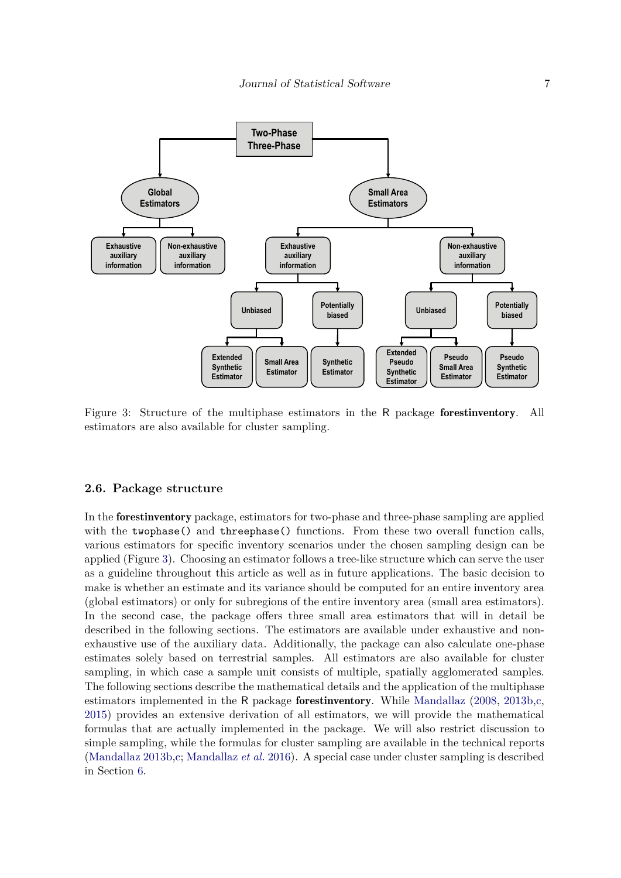<span id="page-6-0"></span>

Figure 3: Structure of the multiphase estimators in the R package forestinventory. All estimators are also available for cluster sampling.

#### <span id="page-6-1"></span>**2.6. Package structure**

In the forestinventory package, estimators for two-phase and three-phase sampling are applied with the twophase() and threephase() functions. From these two overall function calls, various estimators for specific inventory scenarios under the chosen sampling design can be applied (Figure [3\)](#page-6-0). Choosing an estimator follows a tree-like structure which can serve the user as a guideline throughout this article as well as in future applications. The basic decision to make is whether an estimate and its variance should be computed for an entire inventory area (global estimators) or only for subregions of the entire inventory area (small area estimators). In the second case, the package offers three small area estimators that will in detail be described in the following sections. The estimators are available under exhaustive and nonexhaustive use of the auxiliary data. Additionally, the package can also calculate one-phase estimates solely based on terrestrial samples. All estimators are also available for cluster sampling, in which case a sample unit consists of multiple, spatially agglomerated samples. The following sections describe the mathematical details and the application of the multiphase estimators implemented in the R package forestinventory. While [Mandallaz](#page-37-2) [\(2008,](#page-37-2) [2013b](#page-37-9)[,c,](#page-38-9) [2015\)](#page-38-10) provides an extensive derivation of all estimators, we will provide the mathematical formulas that are actually implemented in the package. We will also restrict discussion to simple sampling, while the formulas for cluster sampling are available in the technical reports [\(Mandallaz 2013b](#page-37-9)[,c;](#page-38-9) [Mandallaz](#page-38-5) *et al.* [2016\)](#page-38-5). A special case under cluster sampling is described in Section [6.](#page-28-0)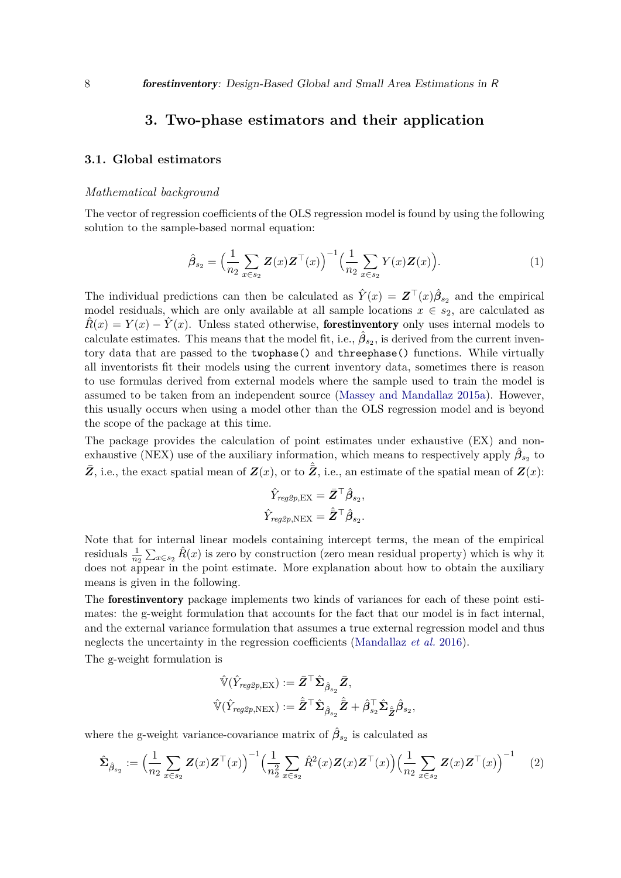## **3. Two-phase estimators and their application**

## <span id="page-7-3"></span><span id="page-7-2"></span>**3.1. Global estimators**

#### *Mathematical background*

<span id="page-7-1"></span>The vector of regression coefficients of the OLS regression model is found by using the following solution to the sample-based normal equation:

$$
\hat{\beta}_{s_2} = \left(\frac{1}{n_2} \sum_{x \in s_2} \mathbf{Z}(x) \mathbf{Z}^\top(x)\right)^{-1} \left(\frac{1}{n_2} \sum_{x \in s_2} Y(x) \mathbf{Z}(x)\right). \tag{1}
$$

The individual predictions can then be calculated as  $\hat{Y}(x) = \mathbf{Z}^\top(x)\hat{\beta}_{s_2}$  and the empirical model residuals, which are only available at all sample locations  $x \in s_2$ , are calculated as  $\hat{R}(x) = Y(x) - \hat{Y}(x)$ . Unless stated otherwise, **forestinventory** only uses internal models to calculate estimates. This means that the model fit, i.e.,  $\hat{\beta}_{s_2}$ , is derived from the current inventory data that are passed to the twophase() and threephase() functions. While virtually all inventorists fit their models using the current inventory data, sometimes there is reason to use formulas derived from external models where the sample used to train the model is assumed to be taken from an independent source [\(Massey and Mandallaz 2015a\)](#page-38-11). However, this usually occurs when using a model other than the OLS regression model and is beyond the scope of the package at this time.

The package provides the calculation of point estimates under exhaustive (EX) and nonexhaustive (NEX) use of the auxiliary information, which means to respectively apply  $\hat{\beta}_{s_2}$  to  $\bar{Z}$ , i.e., the exact spatial mean of  $Z(x)$ , or to  $\hat{Z}$ , i.e., an estimate of the spatial mean of  $Z(x)$ :

$$
\hat{Y}_{reg2p,\text{EX}} = \bar{\pmb{Z}}^\top \hat{\pmb{\beta}}_{s_2},
$$
  

$$
\hat{Y}_{reg2p,\text{NEX}} = \hat{\bar{\pmb{Z}}}^\top \hat{\pmb{\beta}}_{s_2}.
$$

Note that for internal linear models containing intercept terms, the mean of the empirical residuals  $\frac{1}{n_2} \sum_{x \in s_2} \hat{R}(x)$  is zero by construction (zero mean residual property) which is why it does not appear in the point estimate. More explanation about how to obtain the auxiliary means is given in the following.

The forestinventory package implements two kinds of variances for each of these point estimates: the g-weight formulation that accounts for the fact that our model is in fact internal, and the external variance formulation that assumes a true external regression model and thus neglects the uncertainty in the regression coefficients [\(Mandallaz](#page-38-5) *et al.* [2016\)](#page-38-5).

The g-weight formulation is

<span id="page-7-0"></span>
$$
\begin{aligned} \hat{\mathbb{V}}(\hat{Y}_{reg2p, {\rm EX}}) &:= \bar{\bm{Z}}^\top \hat{\bm{\Sigma}}_{\hat{\bm{\beta}}_{s_2}} \bar{\bm{Z}}, \\ \hat{\mathbb{V}}(\hat{Y}_{reg2p, {\rm NEXT}}) &:= \hat{\bar{\bm{Z}}}^\top \hat{\bm{\Sigma}}_{\hat{\bm{\beta}}_{s_2}} \hat{\bar{\bm{Z}}} + \hat{\bm{\beta}}_{s_2}^\top \hat{\bm{\Sigma}}_{\hat{\bm{Z}}} \hat{\bm{\beta}}_{s_2}, \end{aligned}
$$

where the g-weight variance-covariance matrix of  $\hat{\beta}_{s_2}$  is calculated as

$$
\hat{\Sigma}_{\hat{\beta}_{s_2}} := \Big(\frac{1}{n_2} \sum_{x \in s_2} \mathbf{Z}(x) \mathbf{Z}^{\top}(x)\Big)^{-1} \Big(\frac{1}{n_2^2} \sum_{x \in s_2} \hat{R}^2(x) \mathbf{Z}(x) \mathbf{Z}^{\top}(x)\Big) \Big(\frac{1}{n_2} \sum_{x \in s_2} \mathbf{Z}(x) \mathbf{Z}^{\top}(x)\Big)^{-1} \tag{2}
$$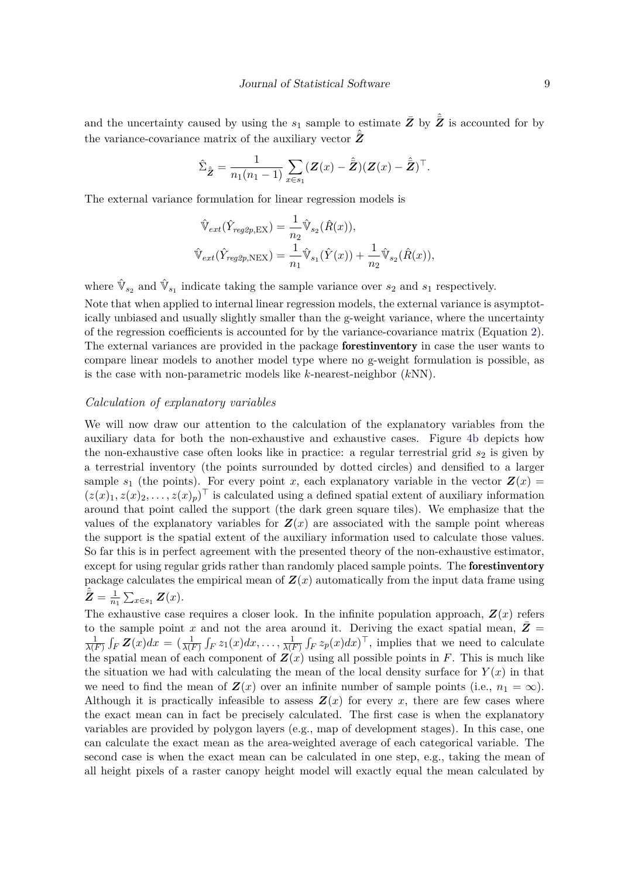and the uncertainty caused by using the  $s_1$  sample to estimate  $\bar{Z}$  by  $\hat{Z}$  is accounted for by the variance-covariance matrix of the auxiliary vector  $\hat{\bar{Z}}$ 

$$
\hat{\Sigma}_{\hat{\mathbf{Z}}} = \frac{1}{n_1(n_1-1)} \sum_{x \in s_1} (\mathbf{Z}(x) - \hat{\mathbf{Z}}) (\mathbf{Z}(x) - \hat{\mathbf{Z}})^{\top}.
$$

The external variance formulation for linear regression models is

$$
\hat{\mathbb{V}}_{ext}(\hat{Y}_{reg2p,EX}) = \frac{1}{n_2} \hat{\mathbb{V}}_{s_2}(\hat{R}(x)),
$$
  

$$
\hat{\mathbb{V}}_{ext}(\hat{Y}_{reg2p,NEX}) = \frac{1}{n_1} \hat{\mathbb{V}}_{s_1}(\hat{Y}(x)) + \frac{1}{n_2} \hat{\mathbb{V}}_{s_2}(\hat{R}(x)),
$$

where  $\hat{\mathbb{V}}_{s_2}$  and  $\hat{\mathbb{V}}_{s_1}$  indicate taking the sample variance over  $s_2$  and  $s_1$  respectively.

Note that when applied to internal linear regression models, the external variance is asymptotically unbiased and usually slightly smaller than the g-weight variance, where the uncertainty of the regression coefficients is accounted for by the variance-covariance matrix (Equation [2\)](#page-7-0). The external variances are provided in the package forestinventory in case the user wants to compare linear models to another model type where no g-weight formulation is possible, as is the case with non-parametric models like *k*-nearest-neighbor (*k*NN).

#### *Calculation of explanatory variables*

We will now draw our attention to the calculation of the explanatory variables from the auxiliary data for both the non-exhaustive and exhaustive cases. Figure [4b](#page-9-0) depicts how the non-exhaustive case often looks like in practice: a regular terrestrial grid  $s_2$  is given by a terrestrial inventory (the points surrounded by dotted circles) and densified to a larger sample  $s_1$  (the points). For every point *x*, each explanatory variable in the vector  $\mathbf{Z}(x) =$  $(z(x)_1, z(x)_2, \ldots, z(x)_p)$ <sup>†</sup> is calculated using a defined spatial extent of auxiliary information around that point called the support (the dark green square tiles). We emphasize that the values of the explanatory variables for  $Z(x)$  are associated with the sample point whereas the support is the spatial extent of the auxiliary information used to calculate those values. So far this is in perfect agreement with the presented theory of the non-exhaustive estimator, except for using regular grids rather than randomly placed sample points. The **forestinventory** package calculates the empirical mean of  $\mathbf{Z}(x)$  automatically from the input data frame using  $\hat{\bar{Z}} = \frac{1}{n_1} \sum_{x \in s_1} Z(x).$ 

The exhaustive case requires a closer look. In the infinite population approach,  $\mathbf{Z}(x)$  refers to the sample point *x* and not the area around it. Deriving the exact spatial mean,  $\bar{Z}$  =  $\frac{1}{\lambda(F)} \int_F \mathbf{Z}(x) dx = \left( \frac{1}{\lambda(F)} \int_F z_1(x) dx, \dots, \frac{1}{\lambda(F)} \int_F z_p(x) dx \right)^{\top}$ , implies that we need to calculate the spatial mean of each component of  $Z(x)$  using all possible points in *F*. This is much like the situation we had with calculating the mean of the local density surface for  $Y(x)$  in that we need to find the mean of  $\mathbf{Z}(x)$  over an infinite number of sample points (i.e.,  $n_1 = \infty$ ). Although it is practically infeasible to assess  $\mathbf{Z}(x)$  for every x, there are few cases where the exact mean can in fact be precisely calculated. The first case is when the explanatory variables are provided by polygon layers (e.g., map of development stages). In this case, one can calculate the exact mean as the area-weighted average of each categorical variable. The second case is when the exact mean can be calculated in one step, e.g., taking the mean of all height pixels of a raster canopy height model will exactly equal the mean calculated by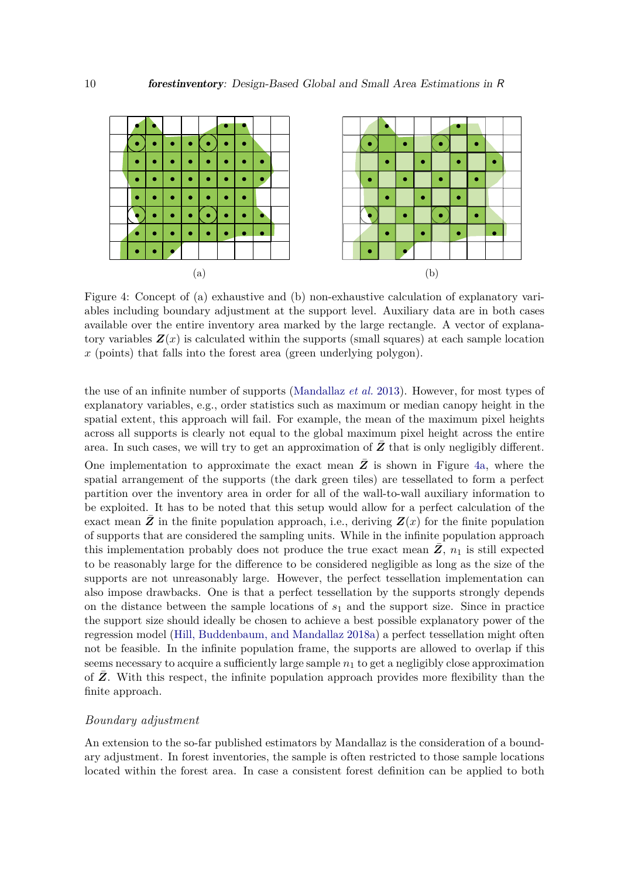<span id="page-9-0"></span>

Figure 4: Concept of (a) exhaustive and (b) non-exhaustive calculation of explanatory variables including boundary adjustment at the support level. Auxiliary data are in both cases available over the entire inventory area marked by the large rectangle. A vector of explanatory variables  $\mathbf{Z}(x)$  is calculated within the supports (small squares) at each sample location *x* (points) that falls into the forest area (green underlying polygon).

the use of an infinite number of supports [\(Mandallaz](#page-38-2) *et al.* [2013\)](#page-38-2). However, for most types of explanatory variables, e.g., order statistics such as maximum or median canopy height in the spatial extent, this approach will fail. For example, the mean of the maximum pixel heights across all supports is clearly not equal to the global maximum pixel height across the entire area. In such cases, we will try to get an approximation of  $Z$  that is only negligibly different. One implementation to approximate the exact mean  $Z$  is shown in Figure [4a,](#page-9-0) where the spatial arrangement of the supports (the dark green tiles) are tessellated to form a perfect partition over the inventory area in order for all of the wall-to-wall auxiliary information to be exploited. It has to be noted that this setup would allow for a perfect calculation of the exact mean  $\bar{Z}$  in the finite population approach, i.e., deriving  $Z(x)$  for the finite population of supports that are considered the sampling units. While in the infinite population approach this implementation probably does not produce the true exact mean  $Z$ ,  $n_1$  is still expected to be reasonably large for the difference to be considered negligible as long as the size of the supports are not unreasonably large. However, the perfect tessellation implementation can also impose drawbacks. One is that a perfect tessellation by the supports strongly depends on the distance between the sample locations of *s*<sup>1</sup> and the support size. Since in practice the support size should ideally be chosen to achieve a best possible explanatory power of the regression model [\(Hill, Buddenbaum, and Mandallaz 2018a\)](#page-37-10) a perfect tessellation might often not be feasible. In the infinite population frame, the supports are allowed to overlap if this seems necessary to acquire a sufficiently large sample  $n_1$  to get a negligibly close approximation of **Z**. With this respect, the infinite population approach provides more flexibility than the finite approach.

## *Boundary adjustment*

An extension to the so-far published estimators by Mandallaz is the consideration of a boundary adjustment. In forest inventories, the sample is often restricted to those sample locations located within the forest area. In case a consistent forest definition can be applied to both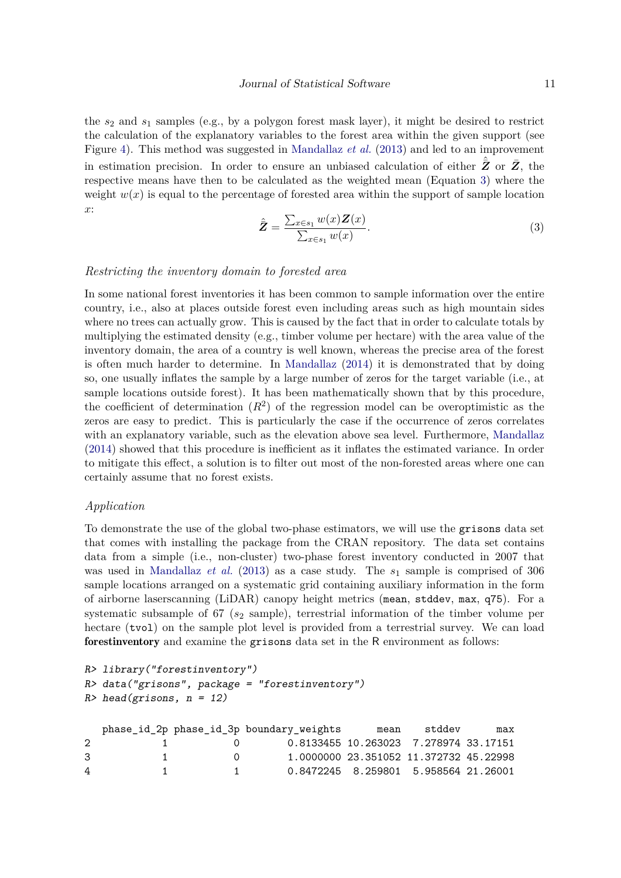the *s*<sup>2</sup> and *s*<sup>1</sup> samples (e.g., by a polygon forest mask layer), it might be desired to restrict the calculation of the explanatory variables to the forest area within the given support (see Figure [4\)](#page-9-0). This method was suggested in [Mandallaz](#page-38-2) *et al.* [\(2013\)](#page-38-2) and led to an improvement in estimation precision. In order to ensure an unbiased calculation of either  $\hat{\bar{Z}}$  or  $\bar{Z}$ , the respective means have then to be calculated as the weighted mean (Equation [3\)](#page-10-0) where the weight  $w(x)$  is equal to the percentage of forested area within the support of sample location *x*:

$$
\hat{\mathbf{Z}} = \frac{\sum_{x \in s_1} w(x) \mathbf{Z}(x)}{\sum_{x \in s_1} w(x)}.
$$
\n(3)

## <span id="page-10-0"></span>*Restricting the inventory domain to forested area*

In some national forest inventories it has been common to sample information over the entire country, i.e., also at places outside forest even including areas such as high mountain sides where no trees can actually grow. This is caused by the fact that in order to calculate totals by multiplying the estimated density (e.g., timber volume per hectare) with the area value of the inventory domain, the area of a country is well known, whereas the precise area of the forest is often much harder to determine. In [Mandallaz](#page-38-8) [\(2014\)](#page-38-8) it is demonstrated that by doing so, one usually inflates the sample by a large number of zeros for the target variable (i.e., at sample locations outside forest). It has been mathematically shown that by this procedure, the coefficient of determination  $(R^2)$  of the regression model can be overoptimistic as the zeros are easy to predict. This is particularly the case if the occurrence of zeros correlates with an explanatory variable, such as the elevation above sea level. Furthermore, [Mandallaz](#page-38-8) [\(2014\)](#page-38-8) showed that this procedure is inefficient as it inflates the estimated variance. In order to mitigate this effect, a solution is to filter out most of the non-forested areas where one can certainly assume that no forest exists.

### *Application*

To demonstrate the use of the global two-phase estimators, we will use the grisons data set that comes with installing the package from the CRAN repository. The data set contains data from a simple (i.e., non-cluster) two-phase forest inventory conducted in 2007 that was used in [Mandallaz](#page-38-2) *et al.* [\(2013\)](#page-38-2) as a case study. The *s*<sup>1</sup> sample is comprised of 306 sample locations arranged on a systematic grid containing auxiliary information in the form of airborne laserscanning (LiDAR) canopy height metrics (mean, stddev, max, q75). For a systematic subsample of 67 ( $s_2$  sample), terrestrial information of the timber volume per hectare (tvol) on the sample plot level is provided from a terrestrial survey. We can load forestinventory and examine the grisons data set in the R environment as follows:

```
R> library("forestinventory")
R> data("grisons", package = "forestinventory")
R> head(grisons, n = 12)
  phase id 2p phase id 3p boundary weights mean stddev max
```

|              |           |                                                           |  | $p_{\text{max}} = \frac{1}{2}$ $p_{\text{max}} = \frac{1}{2}$ $p_{\text{max}} = \frac{1}{2}$ $p_{\text{max}} = \frac{1}{2}$ |
|--------------|-----------|-----------------------------------------------------------|--|-----------------------------------------------------------------------------------------------------------------------------|
| $\mathbf{1}$ |           | 0.8133455 10.263023 7.278974 33.17151<br>$\left( \right)$ |  |                                                                                                                             |
| $\mathbf{1}$ | $\bigcap$ | 1.0000000 23.351052 11.372732 45.22998                    |  |                                                                                                                             |
|              |           |                                                           |  |                                                                                                                             |
|              |           | $\sim$ 1                                                  |  | 0.8472245 8.259801 5.958564 21.26001                                                                                        |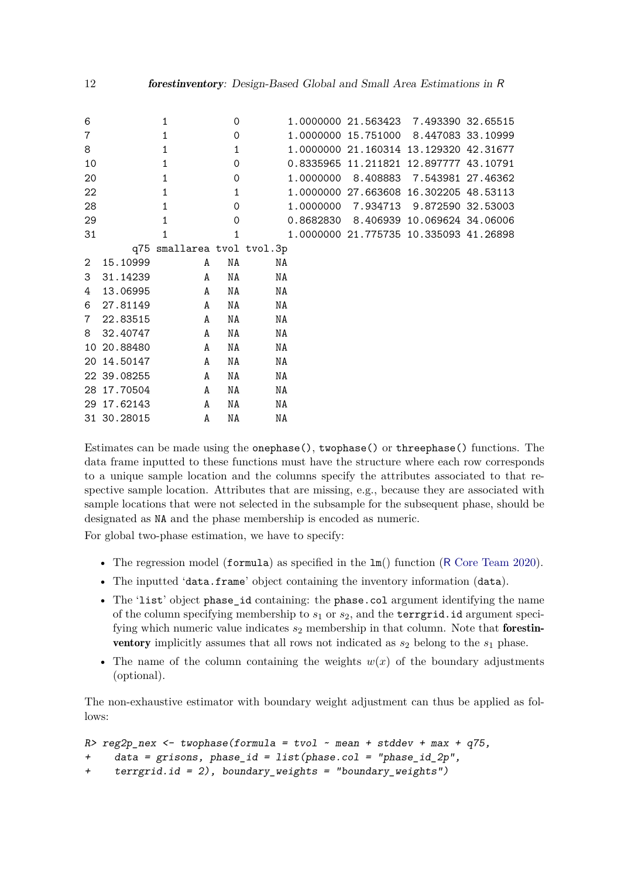| 6              |             | 1                          | $\Omega$     |    | 1.0000000 21.563423 7.493390 32.65515  |  |
|----------------|-------------|----------------------------|--------------|----|----------------------------------------|--|
| $\overline{7}$ |             | 1                          | $\mathbf 0$  |    | 1.0000000 15.751000 8.447083 33.10999  |  |
| 8              |             | $\mathbf{1}$               | $\mathbf{1}$ |    | 1.0000000 21.160314 13.129320 42.31677 |  |
| 10             |             | $\mathbf{1}$               | 0            |    | 0.8335965 11.211821 12.897777 43.10791 |  |
| 20             |             | $\mathbf{1}$               | $\mathbf 0$  |    | 1.0000000 8.408883 7.543981 27.46362   |  |
| 22             |             | $\mathbf{1}$               | $\mathbf{1}$ |    | 1.0000000 27.663608 16.302205 48.53113 |  |
| 28             |             | $\mathbf{1}$               | $\mathbf 0$  |    | 1.0000000 7.934713 9.872590 32.53003   |  |
| 29             |             | 1                          | $\mathbf 0$  |    | 0.8682830 8.406939 10.069624 34.06006  |  |
| 31             |             | 1                          | 1            |    | 1.0000000 21.775735 10.335093 41.26898 |  |
|                |             | q75 smallarea tvol tvol.3p |              |    |                                        |  |
| $\overline{2}$ | 15.10999    | A                          | NA           | NA |                                        |  |
| 3              | 31.14239    | A                          | NA           | NA |                                        |  |
| 4              | 13.06995    | A                          | NA           | NA |                                        |  |
| 6              | 27.81149    | A                          | NA           | ΝA |                                        |  |
| $7\phantom{.}$ | 22.83515    | A                          | NA           | ΝA |                                        |  |
| 8              | 32.40747    | $\mathbf{A}$               | NA           | NA |                                        |  |
|                | 10 20.88480 | $\mathbf{A}$               | NA           | NA |                                        |  |
|                | 20 14.50147 | A                          | NA           | ΝA |                                        |  |
|                | 22 39.08255 | A                          | NA           | ΝA |                                        |  |
|                | 28 17.70504 | A                          | NA           | ΝA |                                        |  |
|                | 29 17.62143 | $\mathbf{A}$               | NA           | NA |                                        |  |
|                | 31 30.28015 | A                          | ΝA           | ΝA |                                        |  |

Estimates can be made using the onephase(), twophase() or threephase() functions. The data frame inputted to these functions must have the structure where each row corresponds to a unique sample location and the columns specify the attributes associated to that respective sample location. Attributes that are missing, e.g., because they are associated with sample locations that were not selected in the subsample for the subsequent phase, should be designated as NA and the phase membership is encoded as numeric.

For global two-phase estimation, we have to specify:

- The regression model (formula) as specified in the  $lm()$  function (R [Core Team 2020\)](#page-38-4).
- The inputted 'data.frame' object containing the inventory information (data).
- The 'list' object phase id containing: the phase.col argument identifying the name of the column specifying membership to *s*<sup>1</sup> or *s*2, and the terrgrid.id argument specifying which numeric value indicates  $s_2$  membership in that column. Note that **forestinventory** implicitly assumes that all rows not indicated as  $s_2$  belong to the  $s_1$  phase.
- The name of the column containing the weights  $w(x)$  of the boundary adjustments (optional).

The non-exhaustive estimator with boundary weight adjustment can thus be applied as follows:

```
R> reg2p\_nex < -twophase(formula = two1 ~ mean + stddev + max + q75,+ data = grisons, phase_id = list(phase.col = "phase_id_2p",
+ terrgrid.id = 2), boundary_weights = "boundary_weights")
```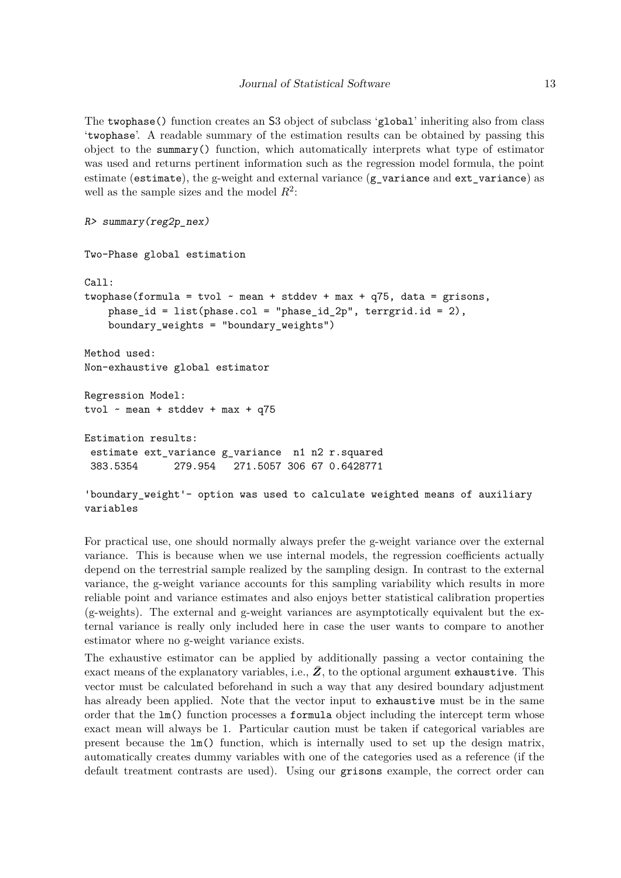The twophase() function creates an S3 object of subclass 'global' inheriting also from class 'twophase'. A readable summary of the estimation results can be obtained by passing this object to the summary() function, which automatically interprets what type of estimator was used and returns pertinent information such as the regression model formula, the point estimate (estimate), the g-weight and external variance  $(g_\text{}$  variance and ext variance) as well as the sample sizes and the model *R*<sup>2</sup> :

```
R> summary(reg2p_nex)
```
variables

Two-Phase global estimation

```
Call:
twophase(formula = tvol \sim mean + stddev + max + q75, data = grisons,
    phase_id = list(phase.col = "phase_id_2p", terrgrid.id = 2),
    boundary_weights = "boundary_weights")
Method used:
Non-exhaustive global estimator
Regression Model:
tvol \sim mean + stddev + max + q75
Estimation results:
 estimate ext_variance g_variance n1 n2 r.squared
 383.5354 279.954 271.5057 306 67 0.6428771
'boundary_weight'- option was used to calculate weighted means of auxiliary
```
For practical use, one should normally always prefer the g-weight variance over the external variance. This is because when we use internal models, the regression coefficients actually depend on the terrestrial sample realized by the sampling design. In contrast to the external variance, the g-weight variance accounts for this sampling variability which results in more reliable point and variance estimates and also enjoys better statistical calibration properties (g-weights). The external and g-weight variances are asymptotically equivalent but the external variance is really only included here in case the user wants to compare to another estimator where no g-weight variance exists.

The exhaustive estimator can be applied by additionally passing a vector containing the exact means of the explanatory variables, i.e.,  $Z$ , to the optional argument exhaustive. This vector must be calculated beforehand in such a way that any desired boundary adjustment has already been applied. Note that the vector input to exhaustive must be in the same order that the lm() function processes a formula object including the intercept term whose exact mean will always be 1. Particular caution must be taken if categorical variables are present because the lm() function, which is internally used to set up the design matrix, automatically creates dummy variables with one of the categories used as a reference (if the default treatment contrasts are used). Using our grisons example, the correct order can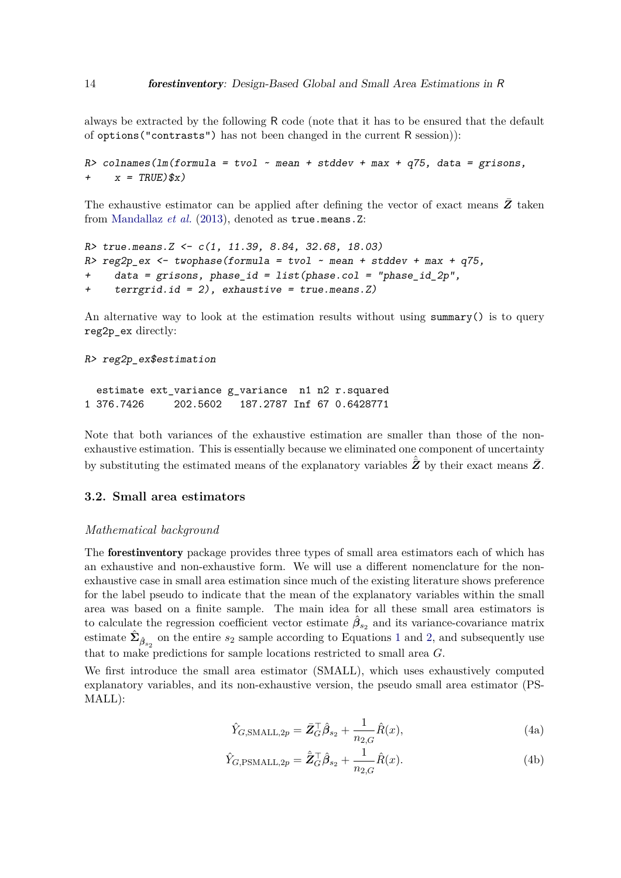always be extracted by the following R code (note that it has to be ensured that the default of options("contrasts") has not been changed in the current R session)):

```
R> colnames(lm(formula = tvol ~ ~mean + stddev + max + q75, data = grisons,+ x = TRUE)(x)
```
The exhaustive estimator can be applied after defining the vector of exact means *Z*¯ taken from [Mandallaz](#page-38-2) *et al.* [\(2013\)](#page-38-2), denoted as true.means.Z:

```
R> true.means.Z <- c(1, 11.39, 8.84, 32.68, 18.03)
R> reg2p_ex <- twophase(formula = tvol ~ mean + stddev + max + q75,
+ data = grisons, phase_id = list(phase.col = "phase_id_2p",
+ terrgrid.id = 2), exhaustive = true.means.Z)
```
An alternative way to look at the estimation results without using summary() is to query reg2p\_ex directly:

```
R> reg2p_ex$estimation
```

```
estimate ext_variance g_variance n1 n2 r.squared
1 376.7426 202.5602 187.2787 Inf 67 0.6428771
```
Note that both variances of the exhaustive estimation are smaller than those of the nonexhaustive estimation. This is essentially because we eliminated one component of uncertainty by substituting the estimated means of the explanatory variables  $\hat{\tilde{Z}}$  by their exact means  $\bar{Z}$ .

## <span id="page-13-1"></span>**3.2. Small area estimators**

## *Mathematical background*

The forestinventory package provides three types of small area estimators each of which has an exhaustive and non-exhaustive form. We will use a different nomenclature for the nonexhaustive case in small area estimation since much of the existing literature shows preference for the label pseudo to indicate that the mean of the explanatory variables within the small area was based on a finite sample. The main idea for all these small area estimators is to calculate the regression coefficient vector estimate  $\hat{\beta}_{s_2}$  and its variance-covariance matrix estimate  $\hat{\Sigma}_{\hat{\beta}_{s_2}}$  on the entire  $s_2$  sample according to Equations [1](#page-7-1) and [2,](#page-7-0) and subsequently use that to make predictions for sample locations restricted to small area *G*.

<span id="page-13-0"></span>We first introduce the small area estimator (SMALL), which uses exhaustively computed explanatory variables, and its non-exhaustive version, the pseudo small area estimator (PS-MALL):

$$
\hat{Y}_{G,\text{SMALL},2p} = \bar{\mathbf{Z}}_G^\top \hat{\boldsymbol{\beta}}_{s_2} + \frac{1}{n_{2,G}} \hat{R}(x),\tag{4a}
$$

$$
\hat{Y}_{G,\text{PSMALL},2p} = \hat{\bar{Z}}_G^\top \hat{\beta}_{s_2} + \frac{1}{n_{2,G}} \hat{R}(x). \tag{4b}
$$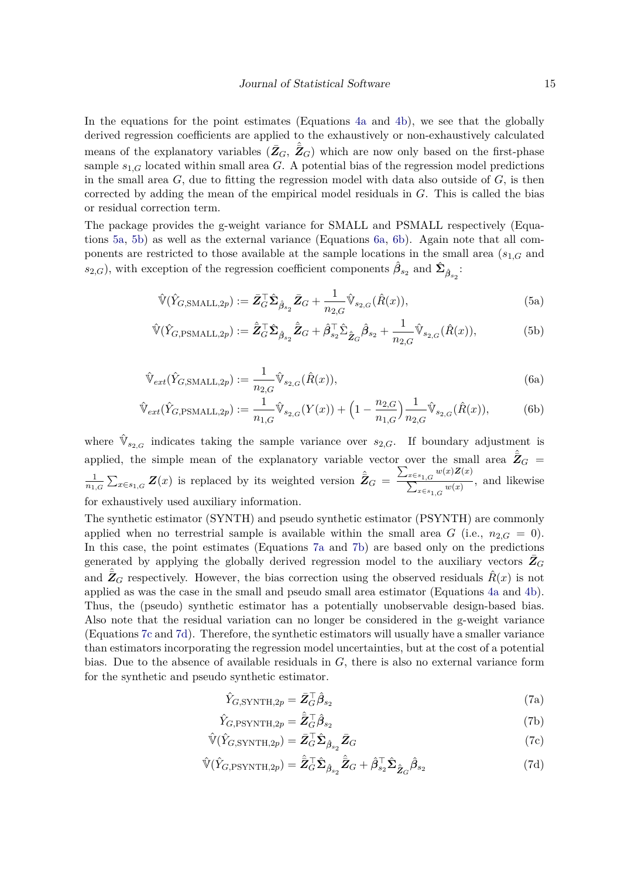In the equations for the point estimates (Equations [4a](#page-7-1) and [4b\)](#page-7-0), we see that the globally derived regression coefficients are applied to the exhaustively or non-exhaustively calculated means of the explanatory variables  $(\bar{Z}_G, \hat{Z}_G)$  which are now only based on the first-phase sample  $s_{1,G}$  located within small area  $G$ . A potential bias of the regression model predictions in the small area  $G$ , due to fitting the regression model with data also outside of  $G$ , is then corrected by adding the mean of the empirical model residuals in *G*. This is called the bias or residual correction term.

The package provides the g-weight variance for SMALL and PSMALL respectively (Equations [5a,](#page-7-1) [5b\)](#page-7-0) as well as the external variance (Equations [6a,](#page-7-1) [6b\)](#page-7-0). Again note that all components are restricted to those available at the sample locations in the small area (*s*1*,G* and  $s_{2,G}$ ), with exception of the regression coefficient components  $\hat{\beta}_{s_2}$  and  $\hat{\Sigma}_{\hat{\beta}_{s_2}}$ :

$$
\hat{\mathbb{V}}(\hat{Y}_{G,\text{SMALL},2p}) := \bar{\mathbf{Z}}_G^\top \hat{\boldsymbol{\Sigma}}_{\hat{\beta}_{s_2}} \bar{\mathbf{Z}}_G + \frac{1}{n_{2,G}} \hat{\mathbb{V}}_{s_{2,G}}(\hat{R}(x)),\tag{5a}
$$

$$
\hat{\mathbb{V}}(\hat{Y}_{G,\text{PSMALL},2p}) := \hat{\bar{Z}}_G^\top \hat{\Sigma}_{\hat{\beta}_{s_2}} \hat{\bar{Z}}_G + \hat{\beta}_{s_2}^\top \hat{\Sigma}_{\hat{\bar{Z}}_G} \hat{\beta}_{s_2} + \frac{1}{n_{2,G}} \hat{\mathbb{V}}_{s_{2,G}}(\hat{R}(x)),\tag{5b}
$$

$$
\hat{\mathbb{V}}_{ext}(\hat{Y}_{G,\text{SMALL},2p}) := \frac{1}{n_{2,G}} \hat{\mathbb{V}}_{s_{2,G}}(\hat{R}(x)),\tag{6a}
$$

$$
\hat{\mathbb{V}}_{ext}(\hat{Y}_{G,\text{PSMALL},2p}) := \frac{1}{n_{1,G}} \hat{\mathbb{V}}_{s_{2,G}}(Y(x)) + \left(1 - \frac{n_{2,G}}{n_{1,G}}\right) \frac{1}{n_{2,G}} \hat{\mathbb{V}}_{s_{2,G}}(\hat{R}(x)),\tag{6b}
$$

where  $\hat{V}_{s_{2,G}}$  indicates taking the sample variance over  $s_{2,G}$ . If boundary adjustment is applied, the simple mean of the explanatory variable vector over the small area  $\hat{Z}_G$  =  $\frac{1}{n_{1,G}}\sum_{x\in s_{1,G}}\mathbf{Z}(x)$  is replaced by its weighted version  $\hat{\bar{\mathbf{Z}}}_G = \frac{\sum_{x\in s_{1,G}}w(x)\mathbf{Z}(x)}{\sum_{x\in s_{1,G}}w(x)}$  $\sum_{x \in s_{1,G}}^{x \in s_{1,G}} w(x)$ , and likewise for exhaustively used auxiliary information.

The synthetic estimator (SYNTH) and pseudo synthetic estimator (PSYNTH) are commonly applied when no terrestrial sample is available within the small area *G* (i.e.,  $n_{2,G} = 0$ ). In this case, the point estimates (Equations [7a](#page-7-1) and [7b\)](#page-7-0) are based only on the predictions generated by applying the globally derived regression model to the auxiliary vectors  $Z_G$ and  $\hat{\bar{Z}}_G$  respectively. However, the bias correction using the observed residuals  $\hat{R}(x)$  is not applied as was the case in the small and pseudo small area estimator (Equations [4a](#page-7-1) and [4b\)](#page-7-0). Thus, the (pseudo) synthetic estimator has a potentially unobservable design-based bias. Also note that the residual variation can no longer be considered in the g-weight variance (Equations [7c](#page-10-0) and [7d\)](#page-13-0). Therefore, the synthetic estimators will usually have a smaller variance than estimators incorporating the regression model uncertainties, but at the cost of a potential bias. Due to the absence of available residuals in *G*, there is also no external variance form for the synthetic and pseudo synthetic estimator.

<span id="page-14-0"></span>
$$
\hat{Y}_{G,\text{SYNTH},2p} = \bar{\mathbf{Z}}_G^\top \hat{\boldsymbol{\beta}}_{s_2} \tag{7a}
$$

$$
\hat{Y}_{G,\text{PSYNTH},2p} = \hat{\bar{Z}}_G^\top \hat{\beta}_{s_2} \tag{7b}
$$

$$
\hat{\mathbb{V}}(\hat{Y}_{G,\text{SYNTH},2p}) = \bar{\mathbf{Z}}_G^\top \hat{\boldsymbol{\Sigma}}_{\hat{\boldsymbol{\beta}}_{s_2}} \bar{\mathbf{Z}}_G \tag{7c}
$$

$$
\hat{\mathbb{V}}(\hat{Y}_{G,\text{PSYNTH},2p}) = \hat{\bar{Z}}_G^\top \hat{\Sigma}_{\hat{\beta}_{s_2}} \hat{\bar{Z}}_G + \hat{\beta}_{s_2}^\top \hat{\Sigma}_{\hat{\bar{Z}}_G} \hat{\beta}_{s_2} \tag{7d}
$$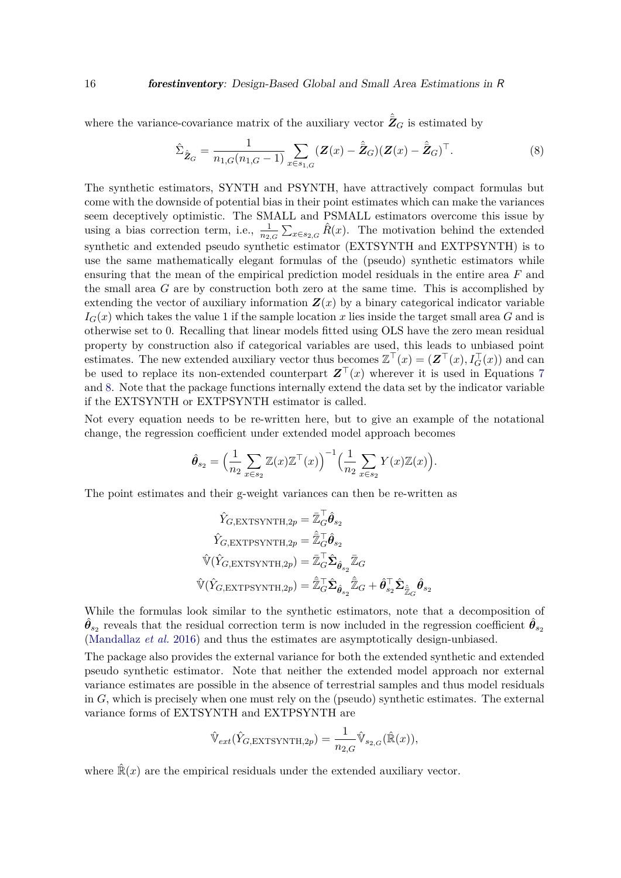where the variance-covariance matrix of the auxiliary vector  $\hat{\bar{Z}}_G$  is estimated by

<span id="page-15-0"></span>
$$
\hat{\Sigma}_{\hat{Z}_G} = \frac{1}{n_{1,G}(n_{1,G} - 1)} \sum_{x \in s_{1,G}} (\mathbf{Z}(x) - \hat{\mathbf{Z}}_G)(\mathbf{Z}(x) - \hat{\mathbf{Z}}_G)^{\top}.
$$
\n(8)

The synthetic estimators, SYNTH and PSYNTH, have attractively compact formulas but come with the downside of potential bias in their point estimates which can make the variances seem deceptively optimistic. The SMALL and PSMALL estimators overcome this issue by using a bias correction term, i.e.,  $\frac{1}{n_{2,G}}\sum_{x\in s_{2,G}}\hat{R}(x)$ . The motivation behind the extended synthetic and extended pseudo synthetic estimator (EXTSYNTH and EXTPSYNTH) is to use the same mathematically elegant formulas of the (pseudo) synthetic estimators while ensuring that the mean of the empirical prediction model residuals in the entire area *F* and the small area *G* are by construction both zero at the same time. This is accomplished by extending the vector of auxiliary information  $\mathbf{Z}(x)$  by a binary categorical indicator variable  $I_G(x)$  which takes the value 1 if the sample location x lies inside the target small area G and is otherwise set to 0. Recalling that linear models fitted using OLS have the zero mean residual property by construction also if categorical variables are used, this leads to unbiased point estimates. The new extended auxiliary vector thus becomes  $\mathbb{Z}^{\top}(x) = (\mathbf{Z}^{\top}(x), I_G^{\top}(x))$  and can be used to replace its non-extended counterpart  $\mathbf{Z}^\top(x)$  wherever it is used in Equations [7](#page-14-0) and [8.](#page-15-0) Note that the package functions internally extend the data set by the indicator variable if the EXTSYNTH or EXTPSYNTH estimator is called.

Not every equation needs to be re-written here, but to give an example of the notational change, the regression coefficient under extended model approach becomes

$$
\hat{\theta}_{s_2} = \Big(\frac{1}{n_2} \sum_{x \in s_2} \mathbb{Z}(x) \mathbb{Z}^\top(x) \Big)^{-1} \Big(\frac{1}{n_2} \sum_{x \in s_2} Y(x) \mathbb{Z}(x) \Big).
$$

The point estimates and their g-weight variances can then be re-written as

$$
\begin{aligned} &\hat{Y}_{G,\text{EXTSYNTH},2p}=\bar{\mathbb{Z}}_G^\top \hat{\boldsymbol{\theta}}_{s_2} \\ &\hat{Y}_{G,\text{EXTPSYNTH},2p}=\hat{\mathbb{Z}}_G^\top \hat{\boldsymbol{\theta}}_{s_2} \\ &\hat{\mathbb{V}}(\hat{Y}_{G,\text{EXTSYNTH},2p})=\bar{\mathbb{Z}}_G^\top \hat{\boldsymbol{\Sigma}}_{\hat{\boldsymbol{\theta}}_{s_2}}\bar{\mathbb{Z}}_G \\ &\hat{\mathbb{V}}(\hat{Y}_{G,\text{EXTPSYNTH},2p})=\hat{\mathbb{Z}}_G^\top \hat{\boldsymbol{\Sigma}}_{\hat{\boldsymbol{\theta}}_{s_2}}\hat{\mathbb{Z}}_G+\hat{\boldsymbol{\theta}}_{s_2}^\top \hat{\boldsymbol{\Sigma}}_{\hat{\mathbb{Z}}_G}\hat{\boldsymbol{\theta}}_{s_2} \end{aligned}
$$

While the formulas look similar to the synthetic estimators, note that a decomposition of  $\hat{\theta}_{s_2}$  reveals that the residual correction term is now included in the regression coefficient  $\hat{\theta}_{s_2}$ [\(Mandallaz](#page-38-5) *et al.* [2016\)](#page-38-5) and thus the estimates are asymptotically design-unbiased.

The package also provides the external variance for both the extended synthetic and extended pseudo synthetic estimator. Note that neither the extended model approach nor external variance estimates are possible in the absence of terrestrial samples and thus model residuals in *G*, which is precisely when one must rely on the (pseudo) synthetic estimates. The external variance forms of EXTSYNTH and EXTPSYNTH are

$$
\hat{\mathbb{V}}_{ext}(\hat{Y}_{G,\text{EXTSYNTH},2p}) = \frac{1}{n_{2,G}} \hat{\mathbb{V}}_{s_{2,G}}(\hat{\mathbb{R}}(x)),
$$

where  $\mathbb{R}(x)$  are the empirical residuals under the extended auxiliary vector.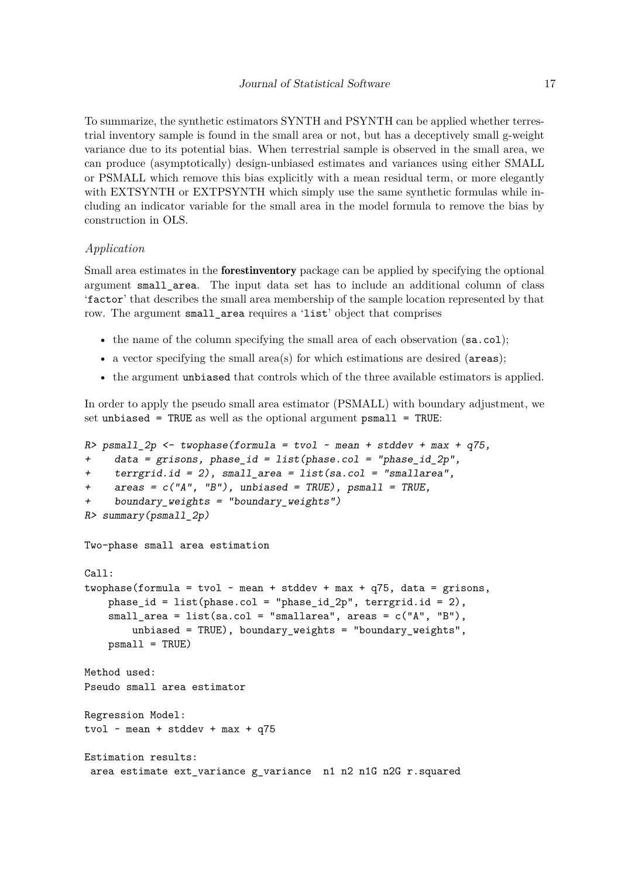To summarize, the synthetic estimators SYNTH and PSYNTH can be applied whether terrestrial inventory sample is found in the small area or not, but has a deceptively small g-weight variance due to its potential bias. When terrestrial sample is observed in the small area, we can produce (asymptotically) design-unbiased estimates and variances using either SMALL or PSMALL which remove this bias explicitly with a mean residual term, or more elegantly with EXTSYNTH or EXTPSYNTH which simply use the same synthetic formulas while including an indicator variable for the small area in the model formula to remove the bias by construction in OLS.

## *Application*

Small area estimates in the forestinventory package can be applied by specifying the optional argument small\_area. The input data set has to include an additional column of class 'factor' that describes the small area membership of the sample location represented by that row. The argument small\_area requires a 'list' object that comprises

- the name of the column specifying the small area of each observation (sa.col);
- a vector specifying the small area(s) for which estimations are desired (areas);
- the argument unbiased that controls which of the three available estimators is applied.

In order to apply the pseudo small area estimator (PSMALL) with boundary adjustment, we set unbiased = TRUE as well as the optional argument psmall = TRUE:

```
R> psmall_2p \leftarrow twophase (formula = two1 ~ mean + stddev + max + q75,data = grisons, phase_id = list(phase.col = "phase_id_2p",+ terrgrid.id = 2), small_area = list(sa.col = "smallarea",
+ \alphareas = c('A'', 'B''), unbiased = TRUE), psmall = TRUE,
     + boundary_weights = "boundary_weights")
R> summary(psmall_2p)
Two-phase small area estimation
Call:
twophase(formula = tvol \sim mean + stddev + max + q75, data = grisons,
    phase_id = list(phase.col = "phase_id_2p", terrgrid.id = 2),
    small_area = list(sa.col = "smallarea", areas = c("A", "B"),
        unbiased = TRUE), boundary_weights = "boundary_weights",
    psmall = TRUE)
Method used:
Pseudo small area estimator
Regression Model:
tvol \sim mean + stddev + max + q75
Estimation results:
 area estimate ext_variance g_variance n1 n2 n1G n2G r.squared
```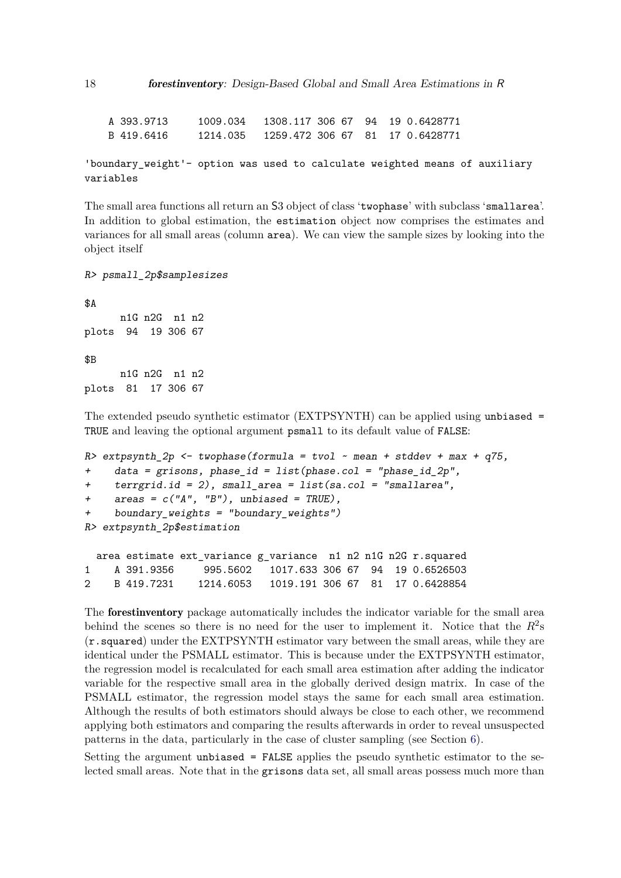A 393.9713 1009.034 1308.117 306 67 94 19 0.6428771 B 419.6416 1214.035 1259.472 306 67 81 17 0.6428771

```
'boundary_weight'- option was used to calculate weighted means of auxiliary
variables
```
The small area functions all return an S3 object of class 'twophase' with subclass 'smallarea'. In addition to global estimation, the estimation object now comprises the estimates and variances for all small areas (column area). We can view the sample sizes by looking into the object itself

R> psmall\_2p\$samplesizes

\$A n1G n2G n1 n2 plots 94 19 306 67 \$B n1G n2G n1 n2 plots 81 17 306 67

The extended pseudo synthetic estimator (EXTPSYNTH) can be applied using unbiased = TRUE and leaving the optional argument psmall to its default value of FALSE:

```
R> extpsynth_2p \le twophase(formula = tvol \sim mean + stddev + max + q75,
+ data = grisons, phase_id = list(phase.col = "phase_id_2p",
+ terrgrid.id = 2), small_area = list(sa.col = "smallarea",
+ \alphareas = c("A", "B"), unbiased = TRUE),
+ boundary_weights = "boundary_weights")
R> extpsynth_2p$estimation
 area estimate ext_variance g_variance n1 n2 n1G n2G r.squared
1 A 391.9356 995.5602 1017.633 306 67 94 19 0.6526503
```
2 B 419.7231 1214.6053 1019.191 306 67 81 17 0.6428854

The forestinventory package automatically includes the indicator variable for the small area behind the scenes so there is no need for the user to implement it. Notice that the  $R^2$ s (r.squared) under the EXTPSYNTH estimator vary between the small areas, while they are identical under the PSMALL estimator. This is because under the EXTPSYNTH estimator, the regression model is recalculated for each small area estimation after adding the indicator variable for the respective small area in the globally derived design matrix. In case of the PSMALL estimator, the regression model stays the same for each small area estimation. Although the results of both estimators should always be close to each other, we recommend applying both estimators and comparing the results afterwards in order to reveal unsuspected patterns in the data, particularly in the case of cluster sampling (see Section [6\)](#page-28-0).

Setting the argument unbiased = FALSE applies the pseudo synthetic estimator to the selected small areas. Note that in the grisons data set, all small areas possess much more than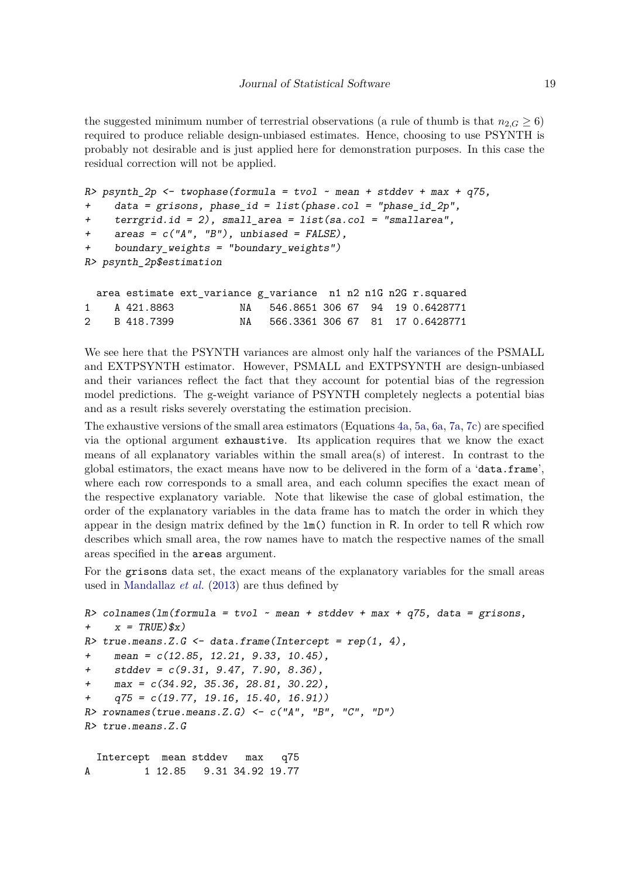the suggested minimum number of terrestrial observations (a rule of thumb is that  $n_{2,G} \geq 6$ ) required to produce reliable design-unbiased estimates. Hence, choosing to use PSYNTH is probably not desirable and is just applied here for demonstration purposes. In this case the residual correction will not be applied.

```
R> psynth_2p <- twophase(formula = tvol ~ mean + stddev + max + q75,
+ data = grisons, phase_id = list(phase.col = "phase_id_2p",
    terrgrid.id = 2), small_area = list(sa.col = "smallarea",
    areas = c("A", "B"), unbiased = FALSE),
+ boundary_weights = "boundary_weights")
R> psynth_2p$estimation
 area estimate ext_variance g_variance n1 n2 n1G n2G r.squared
1 A 421.8863 NA 546.8651 306 67 94 19 0.6428771
2 B 418.7399 NA 566.3361 306 67 81 17 0.6428771
```
We see here that the PSYNTH variances are almost only half the variances of the PSMALL and EXTPSYNTH estimator. However, PSMALL and EXTPSYNTH are design-unbiased and their variances reflect the fact that they account for potential bias of the regression model predictions. The g-weight variance of PSYNTH completely neglects a potential bias and as a result risks severely overstating the estimation precision.

The exhaustive versions of the small area estimators (Equations [4a,](#page-7-1) [5a,](#page-7-1) [6a,](#page-7-1) [7a,](#page-7-1) [7c\)](#page-10-0) are specified via the optional argument exhaustive. Its application requires that we know the exact means of all explanatory variables within the small area(s) of interest. In contrast to the global estimators, the exact means have now to be delivered in the form of a 'data.frame', where each row corresponds to a small area, and each column specifies the exact mean of the respective explanatory variable. Note that likewise the case of global estimation, the order of the explanatory variables in the data frame has to match the order in which they appear in the design matrix defined by the lm() function in R. In order to tell R which row describes which small area, the row names have to match the respective names of the small areas specified in the areas argument.

For the grisons data set, the exact means of the explanatory variables for the small areas used in [Mandallaz](#page-38-2) *et al.* [\(2013\)](#page-38-2) are thus defined by

```
R> colnames(lm(formula = tvol ~ \sim mean + stddev + max + q75, data = grisons,
+ x = TRUE)(x)R> true.means.Z.G <- data.frame(Intercept = rep(1, 4),
+ mean = c(12.85, 12.21, 9.33, 10.45),
+ stddev = c(9.31, 9.47, 7.90, 8.36),
+ max = c(34.92, 35.36, 28.81, 30.22),
+ q75 = c(19.77, 19.16, 15.40, 16.91))
R> rownames(true.means.Z.G) <- c("A", "B", "C", "D")R> true.means.Z.G
  Intercept mean stddev max q75
A 1 12.85 9.31 34.92 19.77
```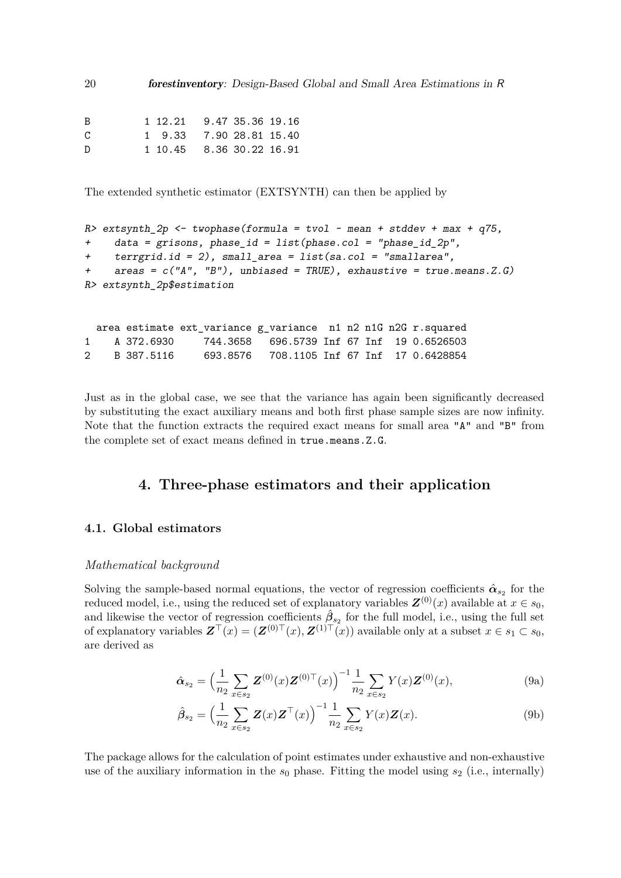20 forestinventory: Design-Based Global and Small Area Estimations in R

| B | 1 12.21 9.47 35.36 19.16 |  |  |
|---|--------------------------|--|--|
| C | 1 9.33 7.90 28.81 15.40  |  |  |
| D | 1 10.45 8.36 30.22 16.91 |  |  |

The extended synthetic estimator (EXTSYNTH) can then be applied by

```
R> extsynth_2p <- twophase(formula = tvol \sim mean + stddev + max + q75,
+ data = grisons, phase_id = list(phase.col = "phase_id_2p",
+ terrgrid.id = 2), small_area = list(sa.col = "smallarea",
+ areas = c("A", "B"), unbiased = TRUE), exhaustive = true.means. Z.G)
R> extsynth_2p$estimation
```
area estimate ext\_variance g\_variance n1 n2 n1G n2G r.squared 1 A 372.6930 744.3658 696.5739 Inf 67 Inf 19 0.6526503 2 B 387.5116 693.8576 708.1105 Inf 67 Inf 17 0.6428854

Just as in the global case, we see that the variance has again been significantly decreased by substituting the exact auxiliary means and both first phase sample sizes are now infinity. Note that the function extracts the required exact means for small area "A" and "B" from the complete set of exact means defined in true.means.Z.G.

## **4. Three-phase estimators and their application**

## <span id="page-19-3"></span>**4.1. Global estimators**

## *Mathematical background*

Solving the sample-based normal equations, the vector of regression coefficients  $\hat{\alpha}_{s_2}$  for the reduced model, i.e., using the reduced set of explanatory variables  $\mathbf{Z}^{(0)}(x)$  available at  $x \in s_0$ , and likewise the vector of regression coefficients  $\hat{\beta}_{s_2}$  for the full model, i.e., using the full set of explanatory variables  $\mathbf{Z}^\top(x) = (\mathbf{Z}^{(0)\top}(x), \mathbf{Z}^{(1)\top}(x))$  available only at a subset  $x \in s_1 \subset s_0$ , are derived as

<span id="page-19-2"></span><span id="page-19-1"></span><span id="page-19-0"></span>
$$
\hat{\alpha}_{s_2} = \left(\frac{1}{n_2} \sum_{x \in s_2} \mathbf{Z}^{(0)}(x) \mathbf{Z}^{(0)\top}(x)\right)^{-1} \frac{1}{n_2} \sum_{x \in s_2} Y(x) \mathbf{Z}^{(0)}(x),\tag{9a}
$$

$$
\hat{\beta}_{s_2} = \left(\frac{1}{n_2} \sum_{x \in s_2} \mathbf{Z}(x) \mathbf{Z}^\top(x)\right)^{-1} \frac{1}{n_2} \sum_{x \in s_2} Y(x) \mathbf{Z}(x).
$$
\n(9b)

The package allows for the calculation of point estimates under exhaustive and non-exhaustive use of the auxiliary information in the  $s_0$  phase. Fitting the model using  $s_2$  (i.e., internally)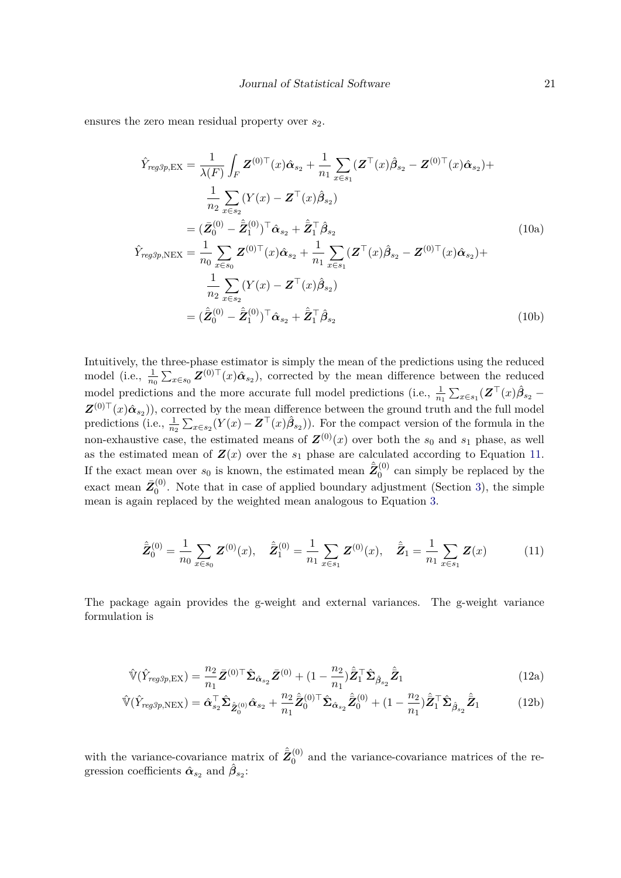ensures the zero mean residual property over *s*2.

<span id="page-20-1"></span>
$$
\hat{Y}_{reg3p,EX} = \frac{1}{\lambda(F)} \int_{F} \mathbf{Z}^{(0)\top}(x) \hat{\alpha}_{s_{2}} + \frac{1}{n_{1}} \sum_{x \in s_{1}} (\mathbf{Z}^{\top}(x) \hat{\beta}_{s_{2}} - \mathbf{Z}^{(0)\top}(x) \hat{\alpha}_{s_{2}}) + \n\frac{1}{n_{2}} \sum_{x \in s_{2}} (Y(x) - \mathbf{Z}^{\top}(x) \hat{\beta}_{s_{2}}) \n= (\bar{\mathbf{Z}}_{0}^{(0)} - \hat{\mathbf{Z}}_{1}^{(0)})^{\top} \hat{\alpha}_{s_{2}} + \hat{\mathbf{Z}}_{1}^{\top} \hat{\beta}_{s_{2}} \n\hat{Y}_{reg3p,NEX} = \frac{1}{n_{0}} \sum_{x \in s_{0}} \mathbf{Z}^{(0)\top}(x) \hat{\alpha}_{s_{2}} + \frac{1}{n_{1}} \sum_{x \in s_{1}} (\mathbf{Z}^{\top}(x) \hat{\beta}_{s_{2}} - \mathbf{Z}^{(0)\top}(x) \hat{\alpha}_{s_{2}}) + \n\frac{1}{n_{2}} \sum_{x \in s_{2}} (Y(x) - \mathbf{Z}^{\top}(x) \hat{\beta}_{s_{2}}) \n= (\hat{\mathbf{Z}}_{0}^{(0)} - \hat{\mathbf{Z}}_{1}^{(0)})^{\top} \hat{\alpha}_{s_{2}} + \hat{\mathbf{Z}}_{1}^{\top} \hat{\beta}_{s_{2}} \n\tag{10b}
$$

Intuitively, the three-phase estimator is simply the mean of the predictions using the reduced model (i.e.,  $\frac{1}{n_0} \sum_{x \in s_0} \mathbf{Z}^{(0)\top}(x) \hat{\alpha}_{s_2}$ ), corrected by the mean difference between the reduced model predictions and the more accurate full model predictions (i.e.,  $\frac{1}{n_1} \sum_{x \in s_1} (Z^{\top}(x) \hat{\beta}_{s_2} \mathbf{Z}^{(0)\top}(x)\hat{\boldsymbol{\alpha}}_{s_2}),$  corrected by the mean difference between the ground truth and the full model predictions (i.e.,  $\frac{1}{n_2} \sum_{x \in s_2} (Y(x) - \mathbf{Z}^\top(x) \hat{\beta}_{s_2})$ ). For the compact version of the formula in the non-exhaustive case, the estimated means of  $\mathbf{Z}^{(0)}(x)$  over both the  $s_0$  and  $s_1$  phase, as well as the estimated mean of  $\mathbf{Z}(x)$  over the  $s_1$  phase are calculated according to Equation [11.](#page-20-0) If the exact mean over  $s_0$  is known, the estimated mean  $\hat{\bar{Z}}_0^{(0)}$  $\int_0^{(0)}$  can simply be replaced by the exact mean  $\bar{Z}_0^{(0)}$  $\binom{10}{0}$ . Note that in case of applied boundary adjustment (Section [3\)](#page-7-2), the simple mean is again replaced by the weighted mean analogous to Equation [3.](#page-10-0)

<span id="page-20-0"></span>
$$
\hat{\bar{Z}}_0^{(0)} = \frac{1}{n_0} \sum_{x \in s_0} Z^{(0)}(x), \quad \hat{\bar{Z}}_1^{(0)} = \frac{1}{n_1} \sum_{x \in s_1} Z^{(0)}(x), \quad \hat{\bar{Z}}_1 = \frac{1}{n_1} \sum_{x \in s_1} Z(x)
$$
(11)

The package again provides the g-weight and external variances. The g-weight variance formulation is

$$
\hat{\mathbb{V}}(\hat{Y}_{reg3p,EX}) = \frac{n_2}{n_1} \bar{Z}^{(0)\top} \hat{\Sigma}_{\hat{\alpha}_{s_2}} \bar{Z}^{(0)} + (1 - \frac{n_2}{n_1}) \hat{\bar{Z}}_1^\top \hat{\Sigma}_{\hat{\beta}_{s_2}} \hat{\bar{Z}}_1
$$
\n(12a)

$$
\hat{\mathbb{V}}(\hat{Y}_{reg3p,NEX}) = \hat{\alpha}_{s_2}^{\top} \hat{\Sigma}_{\hat{Z}_0^{(0)}} \hat{\alpha}_{s_2} + \frac{n_2}{n_1} \hat{\bar{Z}}_0^{(0)\top} \hat{\Sigma}_{\hat{\alpha}_{s_2}} \hat{\bar{Z}}_0^{(0)} + (1 - \frac{n_2}{n_1}) \hat{\bar{Z}}_1^{\top} \hat{\Sigma}_{\hat{\beta}_{s_2}} \hat{\bar{Z}}_1
$$
(12b)

<span id="page-20-2"></span>with the variance-covariance matrix of  $\hat{\bar{Z}}_0^{(0)}$  $0<sup>(0)</sup>$  and the variance-covariance matrices of the regression coefficients  $\hat{\alpha}_{s_2}$  and  $\hat{\beta}_{s_2}$ :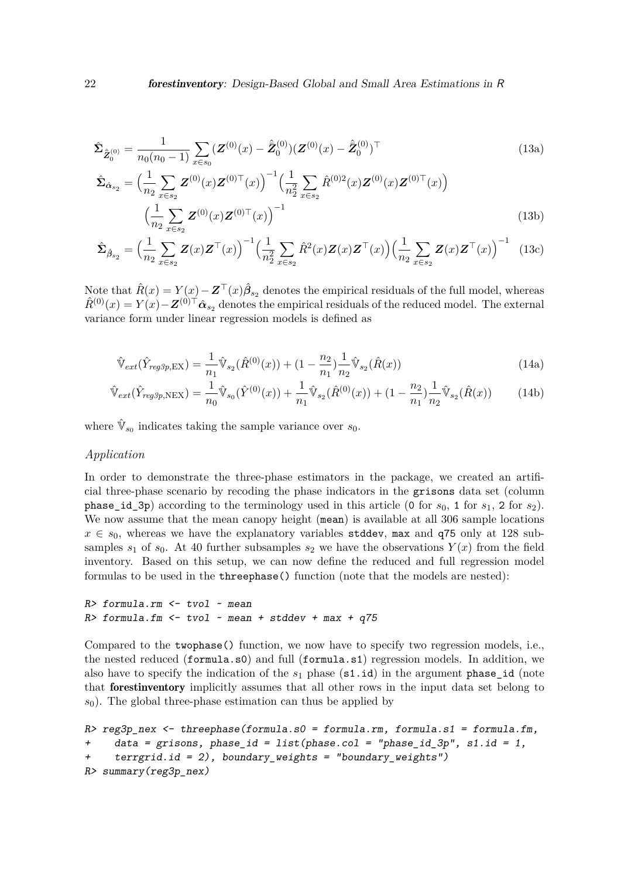$$
\hat{\Sigma}_{\hat{Z}_0^{(0)}} = \frac{1}{n_0(n_0 - 1)} \sum_{x \in s_0} (\mathbf{Z}^{(0)}(x) - \hat{\mathbf{Z}}_0^{(0)}) (\mathbf{Z}^{(0)}(x) - \hat{\mathbf{Z}}_0^{(0)})^\top
$$
\n(13a)

$$
\hat{\Sigma}_{\hat{\alpha}_{s_2}} = \left(\frac{1}{n_2} \sum_{x \in s_2} \mathbf{Z}^{(0)}(x) \mathbf{Z}^{(0)\top}(x)\right)^{-1} \left(\frac{1}{n_2^2} \sum_{x \in s_2} \hat{R}^{(0)2}(x) \mathbf{Z}^{(0)}(x) \mathbf{Z}^{(0)\top}(x)\right)
$$
\n
$$
\left(\frac{1}{n_2} \sum_{x \in s_2} \mathbf{Z}^{(0)}(x) \mathbf{Z}^{(0)\top}(x)\right)^{-1} \tag{13b}
$$

$$
\hat{\Sigma}_{\hat{\beta}_{s_2}} = \left(\frac{1}{n_2} \sum_{x \in s_2} \mathbf{Z}(x) \mathbf{Z}^\top(x)\right)^{-1} \left(\frac{1}{n_2^2} \sum_{x \in s_2} \hat{R}^2(x) \mathbf{Z}(x) \mathbf{Z}^\top(x)\right) \left(\frac{1}{n_2} \sum_{x \in s_2} \mathbf{Z}(x) \mathbf{Z}^\top(x)\right)^{-1} (13c)
$$

Note that  $\hat{R}(x) = Y(x) - \mathbf{Z}^\top(x)\hat{\beta}_{s_2}$  denotes the empirical residuals of the full model, whereas  $\hat{R}^{(0)}(x) = Y(x) - \mathbf{Z}^{(0)\top} \hat{\alpha}_{s_2}$  denotes the empirical residuals of the reduced model. The external variance form under linear regression models is defined as

<span id="page-21-0"></span>
$$
\hat{\mathbb{V}}_{ext}(\hat{Y}_{reg3p,EX}) = \frac{1}{n_1} \hat{\mathbb{V}}_{s_2}(\hat{R}^{(0)}(x)) + (1 - \frac{n_2}{n_1}) \frac{1}{n_2} \hat{\mathbb{V}}_{s_2}(\hat{R}(x))
$$
\n(14a)

$$
\hat{\mathbb{V}}_{ext}(\hat{Y}_{reg3p, \text{NEX}}) = \frac{1}{n_0} \hat{\mathbb{V}}_{s_0}(\hat{Y}^{(0)}(x)) + \frac{1}{n_1} \hat{\mathbb{V}}_{s_2}(\hat{R}^{(0)}(x)) + (1 - \frac{n_2}{n_1}) \frac{1}{n_2} \hat{\mathbb{V}}_{s_2}(\hat{R}(x))
$$
(14b)

where  $\hat{\mathbb{V}}_{s_0}$  indicates taking the sample variance over  $s_0$ .

## *Application*

In order to demonstrate the three-phase estimators in the package, we created an artificial three-phase scenario by recoding the phase indicators in the grisons data set (column phase id 3p) according to the terminology used in this article (0 for  $s_0$ , 1 for  $s_1$ , 2 for  $s_2$ ). We now assume that the mean canopy height (mean) is available at all 306 sample locations  $x \in s_0$ , whereas we have the explanatory variables stddev, max and q75 only at 128 subsamples  $s_1$  of  $s_0$ . At 40 further subsamples  $s_2$  we have the observations  $Y(x)$  from the field inventory. Based on this setup, we can now define the reduced and full regression model formulas to be used in the threephase() function (note that the models are nested):

 $R$ > formula.rm  $\le$  tvol  $\sim$  mean  $R$ > formula.fm  $<-$  tvol  $-$  mean  $+$  stddev  $+$  max  $+$  q75

Compared to the twophase() function, we now have to specify two regression models, i.e., the nested reduced (formula.s0) and full (formula.s1) regression models. In addition, we also have to specify the indication of the *s*<sup>1</sup> phase (s1.id) in the argument phase\_id (note that forestinventory implicitly assumes that all other rows in the input data set belong to  $s<sub>0</sub>$ ). The global three-phase estimation can thus be applied by

```
R> reg3p_nex <- threephase(formula.s0 = formula.rm, formula.s1 = formula.fm,
+ data = grisons, phase_id = list(phase.col = "phase_id_3p", s1.id = 1,
    terrgrid.id = 2), boundary_weights = "boundary_weights")
R> summary(reg3p_nex)
```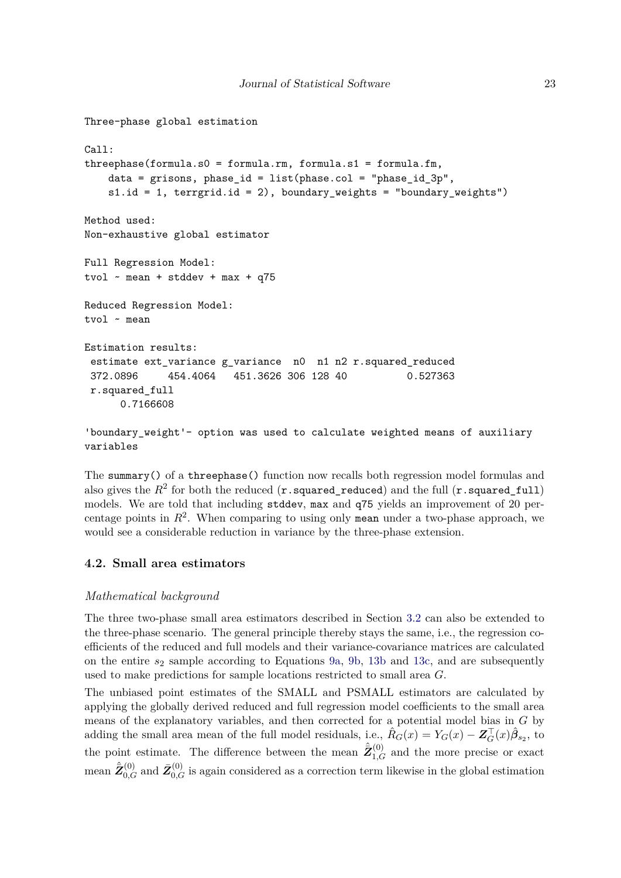```
Three-phase global estimation
Call:
threephase(formula.s0 = formula.rm, formula.s1 = formula.fm,
    data = grisons, phase_id = list(phase.col = "phase_id_3p",
    s1.id = 1, terrgrid.id = 2), boundary_weights = "boundary_weights")
Method used:
Non-exhaustive global estimator
Full Regression Model:
tvol \sim mean + stddev + max + q75
Reduced Regression Model:
tvol ~ mean
Estimation results:
 estimate ext_variance g_\text{}variance n0 n1 n2 r.squared reduced
 372.0896 454.4064 451.3626 306 128 40 0.527363
 r.squared_full
      0.7166608
```
'boundary weight'- option was used to calculate weighted means of auxiliary variables

The summary() of a threephase() function now recalls both regression model formulas and also gives the  $R^2$  for both the reduced  $({\bf r}$ .squared\_reduced) and the full  $({\bf r}$ .squared\_full) models. We are told that including stddev, max and q75 yields an improvement of 20 percentage points in  $R^2$ . When comparing to using only mean under a two-phase approach, we would see a considerable reduction in variance by the three-phase extension.

## <span id="page-22-0"></span>**4.2. Small area estimators**

## *Mathematical background*

The three two-phase small area estimators described in Section [3.2](#page-13-1) can also be extended to the three-phase scenario. The general principle thereby stays the same, i.e., the regression coefficients of the reduced and full models and their variance-covariance matrices are calculated on the entire *s*<sup>2</sup> sample according to Equations [9a,](#page-19-0) [9b,](#page-19-1) [13b](#page-19-1) and [13c,](#page-21-0) and are subsequently used to make predictions for sample locations restricted to small area *G*.

The unbiased point estimates of the SMALL and PSMALL estimators are calculated by applying the globally derived reduced and full regression model coefficients to the small area means of the explanatory variables, and then corrected for a potential model bias in *G* by adding the small area mean of the full model residuals, i.e.,  $\hat{R}_G(x) = Y_G(x) - \mathbf{Z}_G^{\top}(x)\hat{\beta}_{s_2}$ , to the point estimate. The difference between the mean  $\hat{\bar{Z}}_{1,G}^{(0)}$  and the more precise or exact mean  $\hat{Z}_{0,G}^{(0)}$  and  $\bar{Z}_{0,G}^{(0)}$  is again considered as a correction term likewise in the global estimation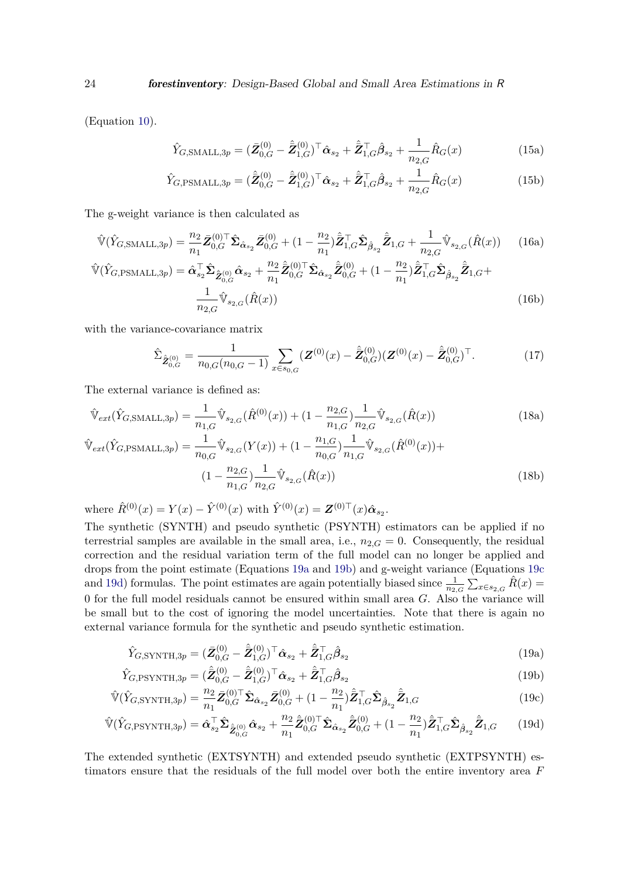(Equation [10\)](#page-20-1).

$$
\hat{Y}_{G,\text{SMALL},3p} = (\bar{Z}_{0,G}^{(0)} - \hat{Z}_{1,G}^{(0)})^\top \hat{\alpha}_{s_2} + \hat{Z}_{1,G}^\top \hat{\beta}_{s_2} + \frac{1}{n_{2,G}} \hat{R}_G(x)
$$
\n(15a)

$$
\hat{Y}_{G,\text{PSMALL},3p} = (\hat{\bar{Z}}_{0,G}^{(0)} - \hat{\bar{Z}}_{1,G}^{(0)})^\top \hat{\alpha}_{s_2} + \hat{\bar{Z}}_{1,G}^\top \hat{\beta}_{s_2} + \frac{1}{n_{2,G}} \hat{R}_G(x)
$$
\n(15b)

The g-weight variance is then calculated as

$$
\hat{\mathbb{V}}(\hat{Y}_{G,\text{SMALL},3p}) = \frac{n_2}{n_1} \bar{Z}_{0,G}^{(0)\top} \hat{\Sigma}_{\hat{\alpha}_{s_2}} \bar{Z}_{0,G}^{(0)} + (1 - \frac{n_2}{n_1}) \hat{\bar{Z}}_{1,G}^{\top} \hat{\Sigma}_{\hat{\beta}_{s_2}} \hat{\bar{Z}}_{1,G} + \frac{1}{n_{2,G}} \hat{\mathbb{V}}_{s_{2,G}}(\hat{R}(x)) \qquad (16a)
$$
\n
$$
\hat{\mathbb{V}}(\hat{Y}_{G,\text{PSMALL},3p}) = \hat{\alpha}_{s_2}^{\top} \hat{\Sigma}_{\hat{\bar{Z}}_{0,G}^{(0)}} \hat{\alpha}_{s_2} + \frac{n_2}{n_1} \hat{\bar{Z}}_{0,G}^{(0)\top} \hat{\Sigma}_{\hat{\alpha}_{s_2}} \hat{\bar{Z}}_{0,G}^{(0)} + (1 - \frac{n_2}{n_1}) \hat{\bar{Z}}_{1,G}^{\top} \hat{\Sigma}_{\hat{\beta}_{s_2}} \hat{\bar{Z}}_{1,G} + \frac{1}{n_{2,G}} \hat{\mathbb{V}}_{s_{2,G}}(\hat{R}(x)) \qquad (16b)
$$

with the variance-covariance matrix

<span id="page-23-1"></span>
$$
\hat{\Sigma}_{\hat{\mathbf{Z}}_{0,G}^{(0)}} = \frac{1}{n_{0,G}(n_{0,G}-1)} \sum_{x \in s_{0,G}} (\mathbf{Z}^{(0)}(x) - \hat{\mathbf{Z}}_{0,G}^{(0)}) (\mathbf{Z}^{(0)}(x) - \hat{\mathbf{Z}}_{0,G}^{(0)})^{\top}.
$$
\n(17)

The external variance is defined as:

$$
\hat{\mathbb{V}}_{ext}(\hat{Y}_{G,\text{SMALL},3p}) = \frac{1}{n_{1,G}} \hat{\mathbb{V}}_{s_{2,G}}(\hat{R}^{(0)}(x)) + (1 - \frac{n_{2,G}}{n_{1,G}}) \frac{1}{n_{2,G}} \hat{\mathbb{V}}_{s_{2,G}}(\hat{R}(x))
$$
\n
$$
\hat{\mathbb{V}}_{ext}(\hat{Y}_{G,\text{PSMALL},3p}) = \frac{1}{n_{0,G}} \hat{\mathbb{V}}_{s_{2,G}}(Y(x)) + (1 - \frac{n_{1,G}}{n_{0,G}}) \frac{1}{n_{1,G}} \hat{\mathbb{V}}_{s_{2,G}}(\hat{R}^{(0)}(x)) + (1 - \frac{n_{2,G}}{n_{1,G}}) \frac{1}{n_{2,G}} \hat{\mathbb{V}}_{s_{2,G}}(\hat{R}(x))
$$
\n(18b)

where  $\hat{R}^{(0)}(x) = Y(x) - \hat{Y}^{(0)}(x)$  with  $\hat{Y}^{(0)}(x) = \mathbf{Z}^{(0)\top}(x)\hat{\alpha}_{s_2}$ .

The synthetic (SYNTH) and pseudo synthetic (PSYNTH) estimators can be applied if no terrestrial samples are available in the small area, i.e.,  $n_{2,G} = 0$ . Consequently, the residual correction and the residual variation term of the full model can no longer be applied and drops from the point estimate (Equations [19a](#page-19-0) and [19b\)](#page-19-1) and g-weight variance (Equations [19c](#page-21-0) and [19d\)](#page-23-0) formulas. The point estimates are again potentially biased since  $\frac{1}{n_{2,G}}\sum_{x\in s_{2,G}}\hat{R}(x)$ 0 for the full model residuals cannot be ensured within small area *G*. Also the variance will be small but to the cost of ignoring the model uncertainties. Note that there is again no external variance formula for the synthetic and pseudo synthetic estimation.

<span id="page-23-2"></span><span id="page-23-0"></span>
$$
\hat{Y}_{G,\text{SYNTH},3p} = (\bar{Z}_{0,G}^{(0)} - \hat{\bar{Z}}_{1,G}^{(0)})^\top \hat{\alpha}_{s_2} + \hat{\bar{Z}}_{1,G}^\top \hat{\beta}_{s_2}
$$
\n(19a)

$$
\hat{Y}_{G,\text{PSYNTH},3p} = (\hat{\bar{Z}}_{0,G}^{(0)} - \hat{\bar{Z}}_{1,G}^{(0)})^\top \hat{\alpha}_{s_2} + \hat{\bar{Z}}_{1,G}^\top \hat{\beta}_{s_2}
$$
\n(19b)

$$
\hat{\mathbb{V}}(\hat{Y}_{G,\text{SYNTH},3p}) = \frac{n_2}{n_1} \bar{\mathbf{Z}}_{0,G}^{(0)\top} \hat{\mathbf{\Sigma}}_{\hat{\alpha}_{s_2}} \bar{\mathbf{Z}}_{0,G}^{(0)} + (1 - \frac{n_2}{n_1}) \hat{\mathbf{Z}}_{1,G}^{\top} \hat{\mathbf{\Sigma}}_{\hat{\beta}_{s_2}} \hat{\mathbf{Z}}_{1,G}
$$
(19c)

$$
\hat{\mathbb{V}}(\hat{Y}_{G,\text{PSYNTH},3p}) = \hat{\alpha}_{s_2}^{\top} \hat{\Sigma}_{\hat{Z}_{0,G}^{(0)}} \hat{\alpha}_{s_2} + \frac{n_2}{n_1} \hat{\bar{Z}}_{0,G}^{(0)\top} \hat{\Sigma}_{\hat{\alpha}_{s_2}} \hat{\bar{Z}}_{0,G}^{(0)} + (1 - \frac{n_2}{n_1}) \hat{\bar{Z}}_{1,G}^{\top} \hat{\Sigma}_{\hat{\beta}_{s_2}} \hat{\bar{Z}}_{1,G} \qquad (19d)
$$

The extended synthetic (EXTSYNTH) and extended pseudo synthetic (EXTPSYNTH) estimators ensure that the residuals of the full model over both the entire inventory area *F*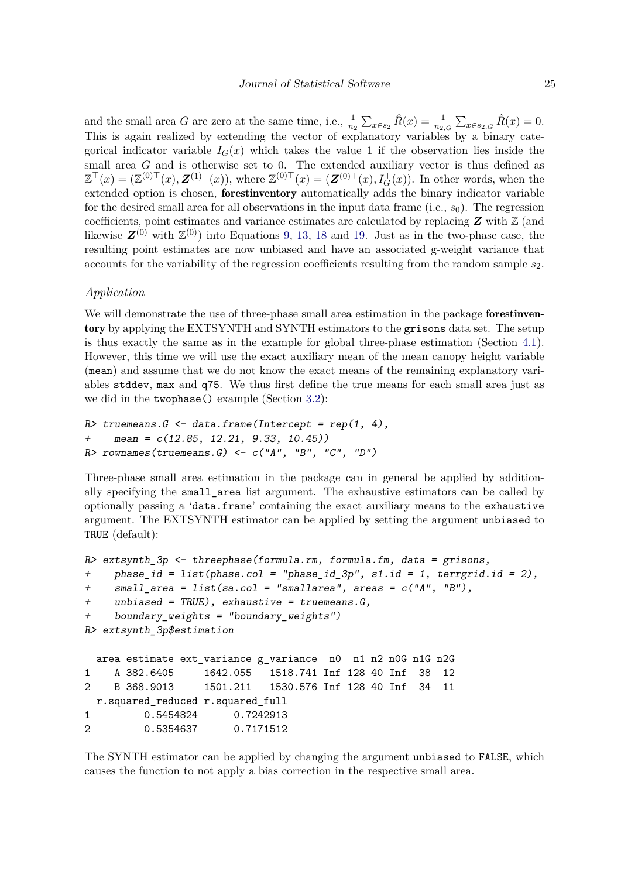and the small area *G* are zero at the same time, i.e.,  $\frac{1}{n_2} \sum_{x \in s_2} \hat{R}(x) = \frac{1}{n_2 G} \sum_{x \in s_2, G} \hat{R}(x) = 0$ . This is again realized by extending the vector of explanatory variables by a binary categorical indicator variable  $I_G(x)$  which takes the value 1 if the observation lies inside the small area *G* and is otherwise set to 0. The extended auxiliary vector is thus defined as  $\mathbb{Z}^{\top}(x) = (\mathbb{Z}^{(0)\top}(x), \mathbf{Z}^{(1)\top}(x))$ , where  $\mathbb{Z}^{(0)\top}(x) = (\mathbf{Z}^{(0)\top}(x), I_G^{\top}(x))$ . In other words, when the extended option is chosen, forestinventory automatically adds the binary indicator variable for the desired small area for all observations in the input data frame (i.e., *s*0). The regression coefficients, point estimates and variance estimates are calculated by replacing  $Z$  with  $\mathbb{Z}$  (and likewise  $\mathbf{Z}^{(0)}$  with  $\mathbb{Z}^{(0)}$ ) into Equations [9,](#page-19-2) [13,](#page-20-2) [18](#page-23-1) and [19.](#page-23-2) Just as in the two-phase case, the resulting point estimates are now unbiased and have an associated g-weight variance that accounts for the variability of the regression coefficients resulting from the random sample *s*2.

### *Application*

We will demonstrate the use of three-phase small area estimation in the package **forestinven**tory by applying the EXTSYNTH and SYNTH estimators to the grisons data set. The setup is thus exactly the same as in the example for global three-phase estimation (Section [4.1\)](#page-19-3). However, this time we will use the exact auxiliary mean of the mean canopy height variable (mean) and assume that we do not know the exact means of the remaining explanatory variables stddev, max and q75. We thus first define the true means for each small area just as we did in the twophase() example (Section [3.2\)](#page-13-1):

```
R> truemeans. G <- data.frame(Intercept = rep(1, 4),
    mean = c(12.85, 12.21, 9.33, 10.45)R rownames (truemeans. G) <- c ("A", "B", "C", "D")
```
Three-phase small area estimation in the package can in general be applied by additionally specifying the small\_area list argument. The exhaustive estimators can be called by optionally passing a 'data.frame' containing the exact auxiliary means to the exhaustive argument. The EXTSYNTH estimator can be applied by setting the argument unbiased to TRUE (default):

```
R> extsynth_3p <- threephase(formula.rm, formula.fm, data = grisons,
+ phase_id = list(phase.col = "phase_id_3p", s1.id = 1, terrgrid.id = 2),
+ small_area = list(sa.col = "smallarea", areas = c("A", "B"),
+ unbiased = TRUE), exhaustive = truemeans.G,
    boundary\_weights = "boundary_weights")
R> extsynth_3p$estimation
 area estimate ext_variance g_variance n0 n1 n2 n0G n1G n2G
1 A 382.6405 1642.055 1518.741 Inf 128 40 Inf 38 12
2 B 368.9013 1501.211 1530.576 Inf 128 40 Inf 34 11
 r.squared_reduced r.squared_full
1 0.5454824 0.7242913
2 0.5354637 0.7171512
```
The SYNTH estimator can be applied by changing the argument unbiased to FALSE, which causes the function to not apply a bias correction in the respective small area.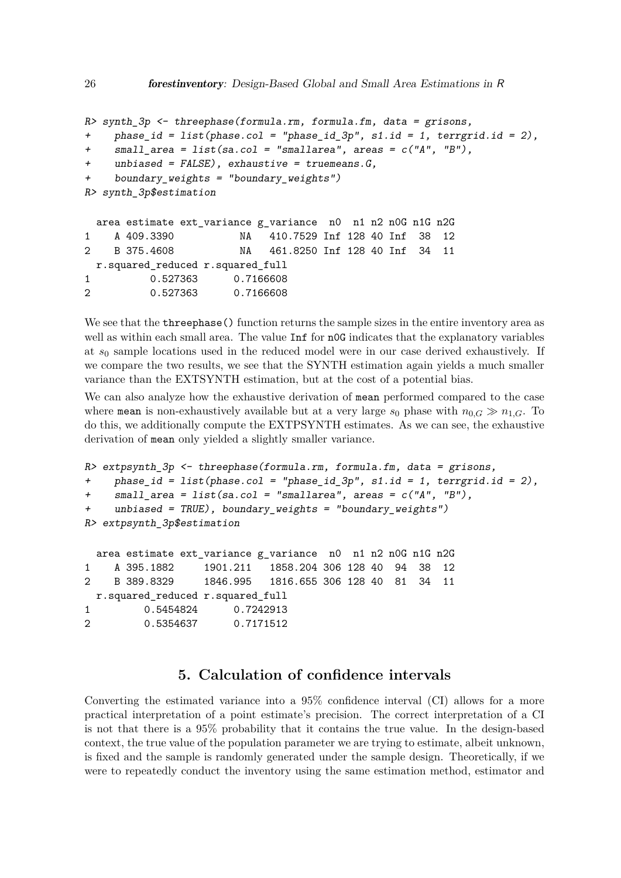```
R> synth 3p <- threephase(formula.rm, formula.fm, data = grisons,
+ phase_id = list(phase.col = "phase_id_3p", s1.id = 1, terrgrid.id = 2),
    small\_area = list(sa.co1 = "smallarea", areas = c("A", "B"),
    unbiased = FALSE), exhaustive = truemeans.G,
+ boundary_weights = "boundary_weights")
R> synth_3p$estimation
 area estimate ext_variance g_variance n0 n1 n2 n0G n1G n2G
1 A 409.3390 NA 410.7529 Inf 128 40 Inf 38 12
2 B 375.4608 NA 461.8250 Inf 128 40 Inf 34 11
 r.squared_reduced r.squared_full
1 0.527363 0.7166608
2 0.527363 0.7166608
```
We see that the **threephase** () function returns the sample sizes in the entire inventory area as well as within each small area. The value Inf for n0G indicates that the explanatory variables at *s*<sup>0</sup> sample locations used in the reduced model were in our case derived exhaustively. If we compare the two results, we see that the SYNTH estimation again yields a much smaller variance than the EXTSYNTH estimation, but at the cost of a potential bias.

We can also analyze how the exhaustive derivation of mean performed compared to the case where mean is non-exhaustively available but at a very large  $s_0$  phase with  $n_{0,G} \gg n_{1,G}$ . To do this, we additionally compute the EXTPSYNTH estimates. As we can see, the exhaustive derivation of mean only yielded a slightly smaller variance.

```
R> extpsynth 3p <- threephase(formula.rm, formula.fm, data = grisons,
+ phase_id = list(phase.col = "phase_id_3p", s1.id = 1, terrgrid.id = 2),
+ small_area = list(sa.col = "smallarea", areas = c("A", "B"),
+ unbiased = TRUE), boundary weights = "boundary weights")
R> extpsynth_3p$estimation
```
area estimate ext\_variance g\_variance n0 n1 n2 n0G n1G n2G 1 A 395.1882 1901.211 1858.204 306 128 40 94 38 12 2 B 389.8329 1846.995 1816.655 306 128 40 81 34 11 r.squared\_reduced r.squared\_full 1 0.5454824 0.7242913 2 0.5354637 0.7171512

## **5. Calculation of confidence intervals**

Converting the estimated variance into a 95% confidence interval (CI) allows for a more practical interpretation of a point estimate's precision. The correct interpretation of a CI is not that there is a 95% probability that it contains the true value. In the design-based context, the true value of the population parameter we are trying to estimate, albeit unknown, is fixed and the sample is randomly generated under the sample design. Theoretically, if we were to repeatedly conduct the inventory using the same estimation method, estimator and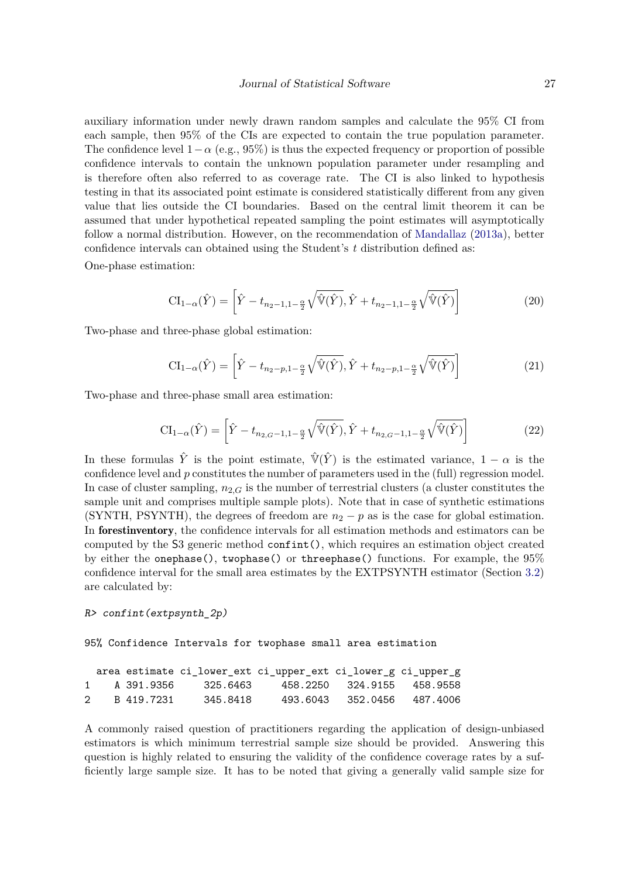auxiliary information under newly drawn random samples and calculate the 95% CI from each sample, then 95% of the CIs are expected to contain the true population parameter. The confidence level  $1-\alpha$  (e.g., 95%) is thus the expected frequency or proportion of possible confidence intervals to contain the unknown population parameter under resampling and is therefore often also referred to as coverage rate. The CI is also linked to hypothesis testing in that its associated point estimate is considered statistically different from any given value that lies outside the CI boundaries. Based on the central limit theorem it can be assumed that under hypothetical repeated sampling the point estimates will asymptotically follow a normal distribution. However, on the recommendation of [Mandallaz](#page-37-3) [\(2013a\)](#page-37-3), better confidence intervals can obtained using the Student's *t* distribution defined as:

One-phase estimation:

$$
\mathrm{CI}_{1-\alpha}(\hat{Y}) = \left[\hat{Y} - t_{n_2-1,1-\frac{\alpha}{2}}\sqrt{\hat{V}(\hat{Y})}, \hat{Y} + t_{n_2-1,1-\frac{\alpha}{2}}\sqrt{\hat{V}(\hat{Y})}\right]
$$
(20)

Two-phase and three-phase global estimation:

$$
\mathrm{CI}_{1-\alpha}(\hat{Y}) = \left[\hat{Y} - t_{n_2-p, 1-\frac{\alpha}{2}}\sqrt{\hat{V}(\hat{Y})}, \hat{Y} + t_{n_2-p, 1-\frac{\alpha}{2}}\sqrt{\hat{V}(\hat{Y})}\right]
$$
(21)

Two-phase and three-phase small area estimation:

$$
CI_{1-\alpha}(\hat{Y}) = \left[ \hat{Y} - t_{n_{2,G}-1,1-\frac{\alpha}{2}} \sqrt{\hat{V}(\hat{Y})}, \hat{Y} + t_{n_{2,G}-1,1-\frac{\alpha}{2}} \sqrt{\hat{V}(\hat{Y})} \right]
$$
(22)

In these formulas  $\hat{Y}$  is the point estimate,  $\hat{V}(\hat{Y})$  is the estimated variance,  $1 - \alpha$  is the confidence level and *p* constitutes the number of parameters used in the (full) regression model. In case of cluster sampling,  $n_{2,G}$  is the number of terrestrial clusters (a cluster constitutes the sample unit and comprises multiple sample plots). Note that in case of synthetic estimations (SYNTH, PSYNTH), the degrees of freedom are  $n_2 - p$  as is the case for global estimation. In forestinventory, the confidence intervals for all estimation methods and estimators can be computed by the S3 generic method confint(), which requires an estimation object created by either the onephase(), twophase() or threephase() functions. For example, the 95% confidence interval for the small area estimates by the EXTPSYNTH estimator (Section [3.2\)](#page-13-1) are calculated by:

#### R> confint(extpsynth\_2p)

95% Confidence Intervals for twophase small area estimation

|  |              |                       | area estimate ci_lower_ext ci_upper_ext ci_lower_g ci_upper_g |                            |  |
|--|--------------|-----------------------|---------------------------------------------------------------|----------------------------|--|
|  |              | 1 A 391.9356 325.6463 |                                                               | 458.2250 324.9155 458.9558 |  |
|  | 2 B 419.7231 | 345.8418              |                                                               | 493.6043 352.0456 487.4006 |  |

A commonly raised question of practitioners regarding the application of design-unbiased estimators is which minimum terrestrial sample size should be provided. Answering this question is highly related to ensuring the validity of the confidence coverage rates by a sufficiently large sample size. It has to be noted that giving a generally valid sample size for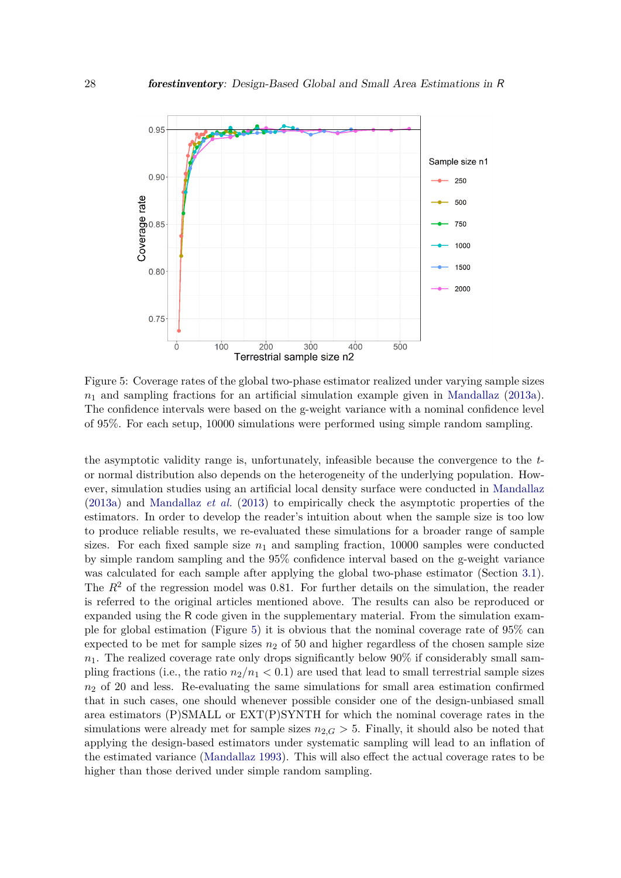<span id="page-27-0"></span>

Figure 5: Coverage rates of the global two-phase estimator realized under varying sample sizes  $n_1$  and sampling fractions for an artificial simulation example given in [Mandallaz](#page-37-3) [\(2013a\)](#page-37-3). The confidence intervals were based on the g-weight variance with a nominal confidence level of 95%. For each setup, 10000 simulations were performed using simple random sampling.

the asymptotic validity range is, unfortunately, infeasible because the convergence to the *t*or normal distribution also depends on the heterogeneity of the underlying population. However, simulation studies using an artificial local density surface were conducted in [Mandallaz](#page-37-3) [\(2013a\)](#page-37-3) and [Mandallaz](#page-38-2) *et al.* [\(2013\)](#page-38-2) to empirically check the asymptotic properties of the estimators. In order to develop the reader's intuition about when the sample size is too low to produce reliable results, we re-evaluated these simulations for a broader range of sample sizes. For each fixed sample size  $n_1$  and sampling fraction, 10000 samples were conducted by simple random sampling and the 95% confidence interval based on the g-weight variance was calculated for each sample after applying the global two-phase estimator (Section [3.1\)](#page-7-3). The  $R<sup>2</sup>$  of the regression model was 0.81. For further details on the simulation, the reader is referred to the original articles mentioned above. The results can also be reproduced or expanded using the R code given in the supplementary material. From the simulation example for global estimation (Figure [5\)](#page-27-0) it is obvious that the nominal coverage rate of 95% can expected to be met for sample sizes  $n_2$  of 50 and higher regardless of the chosen sample size  $n_1$ . The realized coverage rate only drops significantly below 90% if considerably small sampling fractions (i.e., the ratio  $n_2/n_1 < 0.1$ ) are used that lead to small terrestrial sample sizes *n*<sup>2</sup> of 20 and less. Re-evaluating the same simulations for small area estimation confirmed that in such cases, one should whenever possible consider one of the design-unbiased small area estimators (P)SMALL or EXT(P)SYNTH for which the nominal coverage rates in the simulations were already met for sample sizes  $n_{2,G} > 5$ . Finally, it should also be noted that applying the design-based estimators under systematic sampling will lead to an inflation of the estimated variance [\(Mandallaz 1993\)](#page-37-11). This will also effect the actual coverage rates to be higher than those derived under simple random sampling.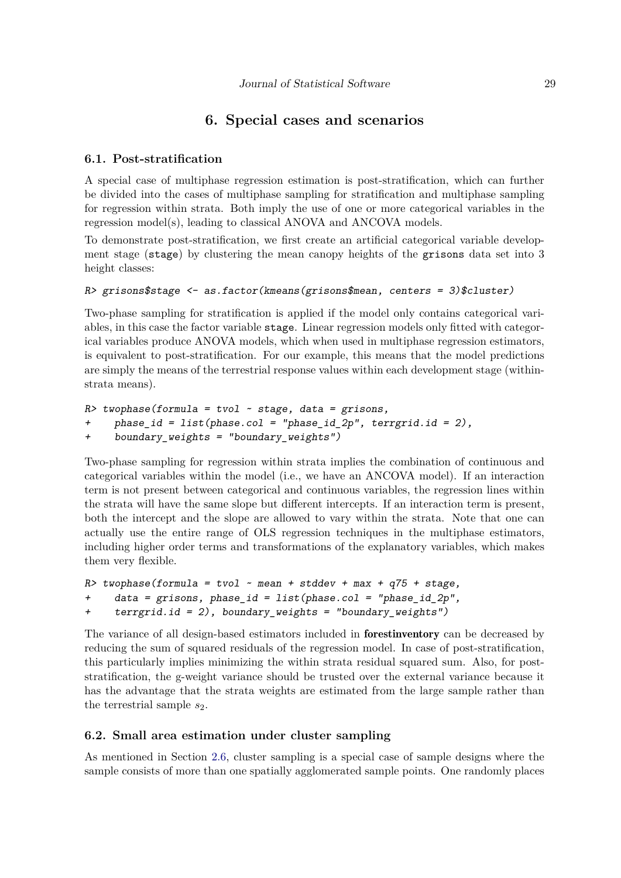## **6. Special cases and scenarios**

## <span id="page-28-0"></span>**6.1. Post-stratification**

A special case of multiphase regression estimation is post-stratification, which can further be divided into the cases of multiphase sampling for stratification and multiphase sampling for regression within strata. Both imply the use of one or more categorical variables in the regression model(s), leading to classical ANOVA and ANCOVA models.

To demonstrate post-stratification, we first create an artificial categorical variable development stage (stage) by clustering the mean canopy heights of the grisons data set into 3 height classes:

## $R$ > grisons\$stage <- as.factor(kmeans(grisons\$mean, centers = 3)\$cluster)

Two-phase sampling for stratification is applied if the model only contains categorical variables, in this case the factor variable stage. Linear regression models only fitted with categorical variables produce ANOVA models, which when used in multiphase regression estimators, is equivalent to post-stratification. For our example, this means that the model predictions are simply the means of the terrestrial response values within each development stage (withinstrata means).

```
R> twophase(formula = tvol ~ stage, data = grisons,
+ phase_id = list(phase.col = "phase_id_2p", terrgrid.id = 2),
+ boundary_weights = "boundary_weights")
```
Two-phase sampling for regression within strata implies the combination of continuous and categorical variables within the model (i.e., we have an ANCOVA model). If an interaction term is not present between categorical and continuous variables, the regression lines within the strata will have the same slope but different intercepts. If an interaction term is present, both the intercept and the slope are allowed to vary within the strata. Note that one can actually use the entire range of OLS regression techniques in the multiphase estimators, including higher order terms and transformations of the explanatory variables, which makes them very flexible.

```
R> twophase(formula = tvol \sim mean + stddev + max + q75 + stage,
+ data = grisons, phase_id = list(phase.col = "phase_id_2p",
+ terrgrid.id = 2), boundary_weights = "boundary_weights")
```
The variance of all design-based estimators included in forestinventory can be decreased by reducing the sum of squared residuals of the regression model. In case of post-stratification, this particularly implies minimizing the within strata residual squared sum. Also, for poststratification, the g-weight variance should be trusted over the external variance because it has the advantage that the strata weights are estimated from the large sample rather than the terrestrial sample  $s_2$ .

## **6.2. Small area estimation under cluster sampling**

As mentioned in Section [2.6,](#page-6-1) cluster sampling is a special case of sample designs where the sample consists of more than one spatially agglomerated sample points. One randomly places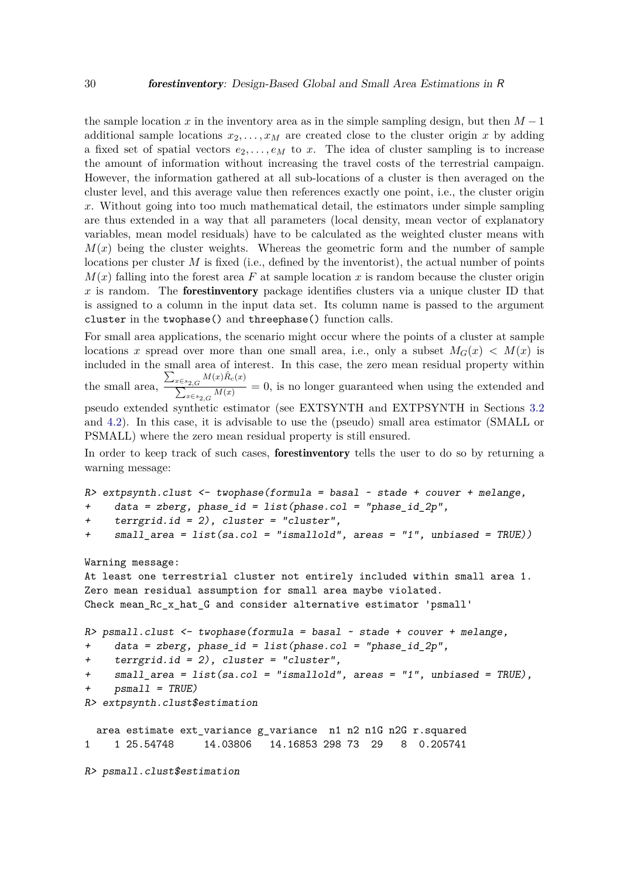the sample location *x* in the inventory area as in the simple sampling design, but then  $M-1$ additional sample locations  $x_2, \ldots, x_M$  are created close to the cluster origin x by adding a fixed set of spatial vectors  $e_2, \ldots, e_M$  to x. The idea of cluster sampling is to increase the amount of information without increasing the travel costs of the terrestrial campaign. However, the information gathered at all sub-locations of a cluster is then averaged on the cluster level, and this average value then references exactly one point, i.e., the cluster origin *x*. Without going into too much mathematical detail, the estimators under simple sampling are thus extended in a way that all parameters (local density, mean vector of explanatory variables, mean model residuals) have to be calculated as the weighted cluster means with  $M(x)$  being the cluster weights. Whereas the geometric form and the number of sample locations per cluster *M* is fixed (i.e., defined by the inventorist), the actual number of points  $M(x)$  falling into the forest area F at sample location x is random because the cluster origin *x* is random. The forestinventory package identifies clusters via a unique cluster ID that is assigned to a column in the input data set. Its column name is passed to the argument cluster in the twophase() and threephase() function calls.

For small area applications, the scenario might occur where the points of a cluster at sample locations *x* spread over more than one small area, i.e., only a subset  $M_G(x) < M(x)$  is included in the small area of interest. In this case, the zero mean residual property within the small area,  $\sum_{x \in s_{2,G}} M(x) \hat{R}_c(x)$  $\sum_{x \in s_2, G} \frac{M(x)}{M(x)} = 0$ , is no longer guaranteed when using the extended and pseudo extended synthetic estimator (see EXTSYNTH and EXTPSYNTH in Sections [3.2](#page-13-1) and [4.2\)](#page-22-0). In this case, it is advisable to use the (pseudo) small area estimator (SMALL or PSMALL) where the zero mean residual property is still ensured.

In order to keep track of such cases, forestinventory tells the user to do so by returning a warning message:

```
R> extpsynth.clust <- twophase(formula = basal \sim stade + couver + melange,
+ data = zberg, phase_id = list(phase.col = "phase_id_2p",
+ terrgrid.id = 2), cluster = "cluster",
+ small_area = list(sa.col = "ismallold", areas = "1", unbiased = TRUE))
```
#### Warning message:

```
At least one terrestrial cluster not entirely included within small area 1.
Zero mean residual assumption for small area maybe violated.
Check mean_Rc_x_hat_G and consider alternative estimator 'psmall'
R> psmall.clust <- twophase(formula = basal ~ stade + couver + melange,
+ data = zberg, phase_id = list(phase.col = "phase_id_2p",
+ terrgrid.id = 2), cluster = "cluster",
+ small_area = list(sa.col = "ismallold", areas = "1", unbiased = TRUE),
    psmall = TRUE)
R> extpsynth.clust$estimation
  area estimate ext_variance g_variance n1 n2 n1G n2G r.squared
1 1 25.54748 14.03806 14.16853 298 73 29 8 0.205741
R> psmall.clust$estimation
```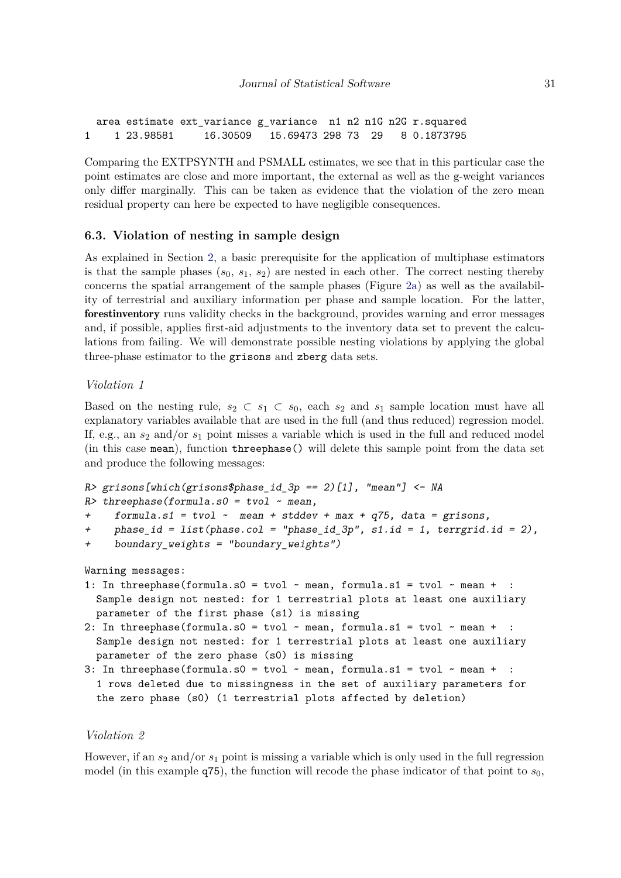area estimate ext\_variance g\_variance n1 n2 n1G n2G r.squared 1 1 23.98581 16.30509 15.69473 298 73 29 8 0.1873795

Comparing the EXTPSYNTH and PSMALL estimates, we see that in this particular case the point estimates are close and more important, the external as well as the g-weight variances only differ marginally. This can be taken as evidence that the violation of the zero mean residual property can here be expected to have negligible consequences.

## **6.3. Violation of nesting in sample design**

As explained in Section [2,](#page-2-0) a basic prerequisite for the application of multiphase estimators is that the sample phases  $(s_0, s_1, s_2)$  are nested in each other. The correct nesting thereby concerns the spatial arrangement of the sample phases (Figure [2a\)](#page-4-0) as well as the availability of terrestrial and auxiliary information per phase and sample location. For the latter, forestinventory runs validity checks in the background, provides warning and error messages and, if possible, applies first-aid adjustments to the inventory data set to prevent the calculations from failing. We will demonstrate possible nesting violations by applying the global three-phase estimator to the grisons and zberg data sets.

## *Violation 1*

Based on the nesting rule,  $s_2 \subset s_1 \subset s_0$ , each  $s_2$  and  $s_1$  sample location must have all explanatory variables available that are used in the full (and thus reduced) regression model. If, e.g., an *s*<sup>2</sup> and/or *s*<sup>1</sup> point misses a variable which is used in the full and reduced model (in this case mean), function threephase() will delete this sample point from the data set and produce the following messages:

```
R> grisons[which(grisons$phase_id_3p == 2)[1], "mean"] <- NA
```

```
R> threephase(formula.s0 = tvol ~ mean,
```

```
+ formula.s1 = tvol \sim mean + stddev + max + q75, data = grisons,
```

```
+ phase_id = list(phase.col = "phase_id_3p", s1.id = 1, terrgrid.id = 2),
```

```
+ boundary_weights = "boundary_weights")
```

```
Warning messages:
```
- 1: In threephase(formula.s0 = tvol  $\sim$  mean, formula.s1 = tvol  $\sim$  mean + Sample design not nested: for 1 terrestrial plots at least one auxiliary parameter of the first phase (s1) is missing
- 2: In threephase(formula.s0 = tvol  $\sim$  mean, formula.s1 = tvol  $\sim$  mean + : Sample design not nested: for 1 terrestrial plots at least one auxiliary parameter of the zero phase (s0) is missing
- 3: In threephase(formula.s0 = tvol  $\sim$  mean, formula.s1 = tvol  $\sim$  mean + : 1 rows deleted due to missingness in the set of auxiliary parameters for the zero phase (s0) (1 terrestrial plots affected by deletion)

## *Violation 2*

However, if an  $s_2$  and/or  $s_1$  point is missing a variable which is only used in the full regression model (in this example  $q75$ ), the function will recode the phase indicator of that point to  $s<sub>0</sub>$ ,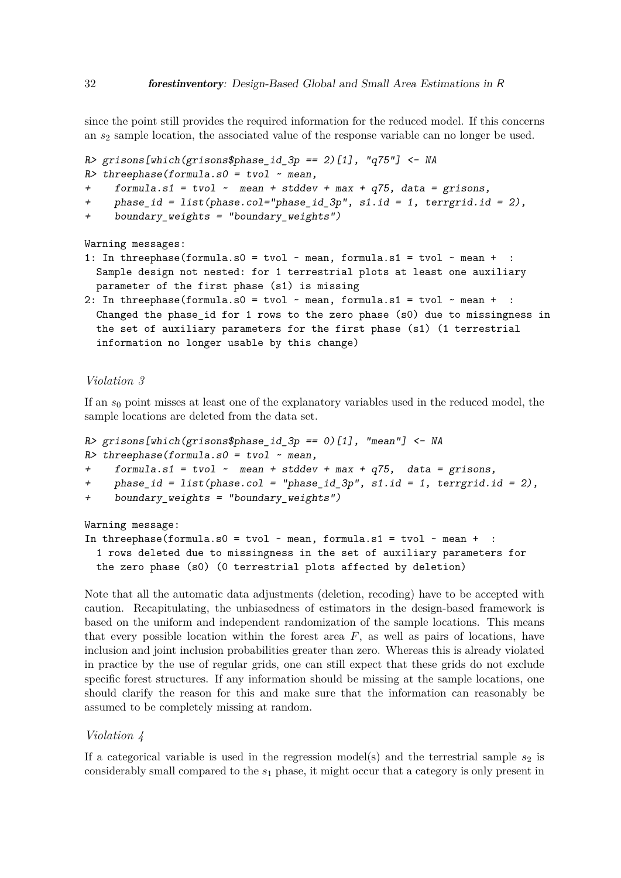since the point still provides the required information for the reduced model. If this concerns an *s*<sup>2</sup> sample location, the associated value of the response variable can no longer be used.

 $R$ > grisons[which(grisons\$phase\_id\_3p == 2)[1], "q75"] <- NA

```
R> threephase(formula.s0 = tvol ~ mean,
```
+ formula.s1 = tvol  $\sim$  mean + stddev + max + q75, data = grisons,

```
+ phase_id = list(phase.col="phase_id_3p", s1.id = 1, terrgrid.id = 2),
```
+ boundary weights = "boundary weights")

Warning messages:

- 1: In threephase(formula.s0 = tvol  $\sim$  mean, formula.s1 = tvol  $\sim$  mean + Sample design not nested: for 1 terrestrial plots at least one auxiliary parameter of the first phase (s1) is missing
- 2: In threephase(formula.s0 = tvol  $\sim$  mean, formula.s1 = tvol  $\sim$  mean + Changed the phase\_id for 1 rows to the zero phase (s0) due to missingness in the set of auxiliary parameters for the first phase (s1) (1 terrestrial information no longer usable by this change)

#### *Violation 3*

If an *s*<sup>0</sup> point misses at least one of the explanatory variables used in the reduced model, the sample locations are deleted from the data set.

```
R> grisons[which(grisons$phase_id_3p == 0)[1], "mean"] <- NA
R> threephase(formula.s0 = tvol ~ mean,
+ formula.s1 = tvol ~ mean + stddev + max + q75, data = grisons,
+ phase_id = list(phase.col = "phase_id_3p", s1.id = 1, terrgrid.id = 2),
+ boundary_weights = "boundary_weights")
Warning message:
In threephase(formula.s0 = tvol \sim mean, formula.s1 = tvol \sim mean +
```

```
1 rows deleted due to missingness in the set of auxiliary parameters for
the zero phase (s0) (0 terrestrial plots affected by deletion)
```
Note that all the automatic data adjustments (deletion, recoding) have to be accepted with caution. Recapitulating, the unbiasedness of estimators in the design-based framework is based on the uniform and independent randomization of the sample locations. This means that every possible location within the forest area  $F$ , as well as pairs of locations, have inclusion and joint inclusion probabilities greater than zero. Whereas this is already violated in practice by the use of regular grids, one can still expect that these grids do not exclude specific forest structures. If any information should be missing at the sample locations, one should clarify the reason for this and make sure that the information can reasonably be assumed to be completely missing at random.

## *Violation 4*

If a categorical variable is used in the regression model(s) and the terrestrial sample  $s_2$  is considerably small compared to the *s*<sup>1</sup> phase, it might occur that a category is only present in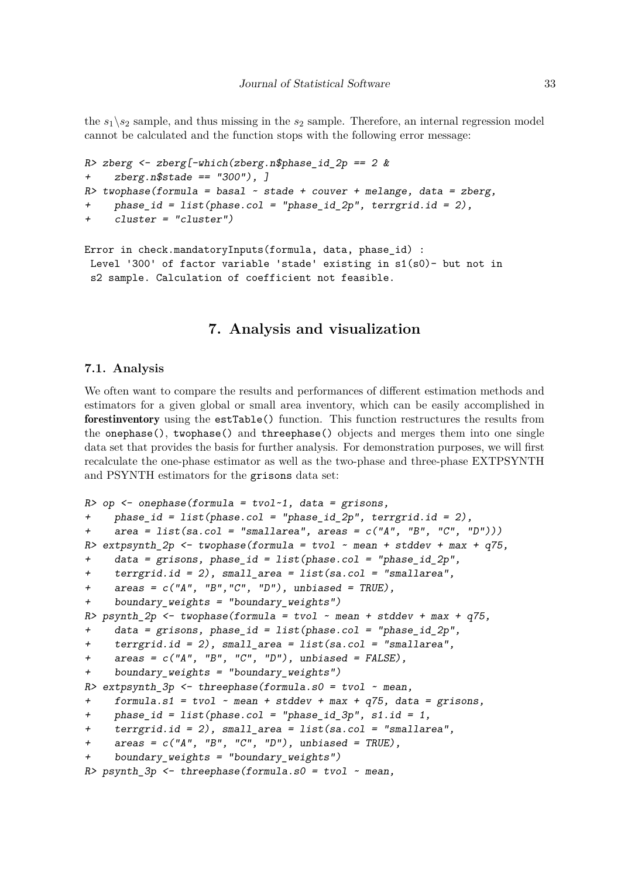the  $s_1 \ s_2$  sample, and thus missing in the  $s_2$  sample. Therefore, an internal regression model cannot be calculated and the function stops with the following error message:

```
R> zberg \leftarrow zberg[-which(zberg.n$phase_id_2p == 2 &
+ zberg.n$stade == "300"), ]
R> twophase(formula = basal \sim stade + couver + melange, data = zberg,
+ phase_id = list(phase.col = "phase_id_2p", terrgrid.id = 2),
     cluster = "cluster")Error in check.mandatoryInputs(formula, data, phase_id) :
 Level '300' of factor variable 'stade' existing in s1(s0)- but not in
 s2 sample. Calculation of coefficient not feasible.
```
## **7. Analysis and visualization**

## **7.1. Analysis**

We often want to compare the results and performances of different estimation methods and estimators for a given global or small area inventory, which can be easily accomplished in forestinventory using the estTable() function. This function restructures the results from the onephase(), twophase() and threephase() objects and merges them into one single data set that provides the basis for further analysis. For demonstration purposes, we will first recalculate the one-phase estimator as well as the two-phase and three-phase EXTPSYNTH and PSYNTH estimators for the grisons data set:

```
R> op \leq onephase(formula = tvol\leq1, data = grisons,
+ phase_id = list(phase.col = "phase_id_2p", terrgrid.id = 2),
+ area = list(sa.col = "smallarea", areas = c("A", "B", "C", "D"))R> extpsynth 2p \le twophase(formula = tvol ~ mean + stddev + max + q75,
+ data = grisons, phase_id = list(phase.col = "phase_id_2p",
    \text{terrgrid.id} = 2), small_area = list(sa.col = "smallarea",
+ areas = c("A", "B", "C", "D"), unbiased = TRUE),+ boundary_weights = "boundary_weights")
R> psynth 2p <- twophase(formula = tvol ~ mean + stddev + max + q75,
+ data = grisons, phase_id = list(phase.col = "phase_id_2p",
+ terrgrid.id = 2), small_area = list(sa.col = "smallarea",
+ areas = c("A", "B", "C", "D"), unbiased = FALSE),
+ boundary_weights = "boundary_weights")
R> extpsynth_3p <- threephase(formula.s0 = tvol ~ mean,
+ formula.s1 = tvol ~ mean + stddev + max + q75, data = grisons,
+ phase_id = list(phase.col = "phase_id_3p", s1.id = 1,
    \text{terrgrid.id} = 2), small_area = list(sa.col = "smallarea",
+ \alphareas = c("A", "B", "C", "D"), unbiased = TRUE),+ boundary_weights = "boundary_weights")
R> psynth_3p <- threephase(formula.s0 = tvol ~ mean,
```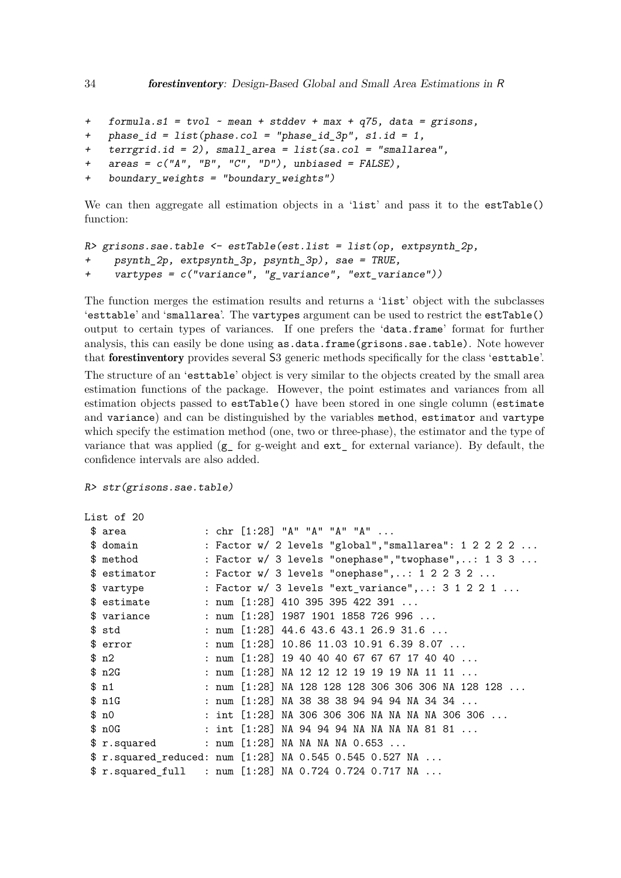```
+ formula.s1 = tvol ~ mean + stddev + max + q75, data = grisons,
+ phase_id = list(phase.col = "phase_id_3p", s1.id = 1,
+ terrgrid.id = 2), small_area = list(sa.col = "smallarea",
   \text{areas} = c("A", "B", "C", "D"), \text{ unbiased} = FALSE),+ boundary_weights = "boundary_weights")
```
We can then aggregate all estimation objects in a 'list' and pass it to the estTable() function:

```
R> grisons.sae.table <- estTable(est.list = list(op, extpsynth 2p,
+ psynth_2p, extpsynth_3p, psynth_3p), sae = TRUE,
+ vartypes = c("variance", "g_variance", "ext_variance"))
```
The function merges the estimation results and returns a 'list' object with the subclasses 'esttable' and 'smallarea'. The vartypes argument can be used to restrict the estTable() output to certain types of variances. If one prefers the 'data.frame' format for further analysis, this can easily be done using as.data.frame(grisons.sae.table). Note however that forestinventory provides several S3 generic methods specifically for the class 'esttable'.

The structure of an 'esttable' object is very similar to the objects created by the small area estimation functions of the package. However, the point estimates and variances from all estimation objects passed to estTable() have been stored in one single column (estimate and variance) and can be distinguished by the variables method, estimator and vartype which specify the estimation method (one, two or three-phase), the estimator and the type of variance that was applied (g\_ for g-weight and ext\_ for external variance). By default, the confidence intervals are also added.

R> str(grisons.sae.table)

```
List of 20
```

| \$ area        |  |  | : $chr [1:28] "A" "A" "A" "A" $                          |
|----------------|--|--|----------------------------------------------------------|
| \$ domain      |  |  | : Factor w/ 2 levels "global", "smallarea": 1 2 2 2 2    |
| \$ method      |  |  | : Factor $w/3$ levels "onephase", "twophase",: 1 3 3     |
| \$ estimator   |  |  | : Factor w/ 3 levels "onephase",: 1 2 2 3 2              |
| \$ vartype     |  |  | : Factor $w/3$ levels "ext_variance",: $3 1 2 2 1 $      |
| \$ estimate    |  |  | : num $[1:28]$ 410 395 395 422 391                       |
| \$ variance    |  |  | : num $[1:28]$ 1987 1901 1858 726 996                    |
| \$ std         |  |  | : num $[1:28]$ 44.6 43.6 43.1 26.9 31.6                  |
| \$ error       |  |  | : num [1:28] 10.86 11.03 10.91 6.39 8.07                 |
| $\text{\$ n2}$ |  |  | : num $[1:28]$ 19 40 40 40 67 67 67 17 40 40             |
| \$n2G          |  |  | : num [1:28] NA 12 12 12 19 19 19 NA 11 11               |
| \$n1           |  |  | : num [1:28] NA 128 128 128 306 306 306 NA 128 128       |
| \$n1G          |  |  | : num [1:28] NA 38 38 38 94 94 94 NA 34 34               |
| \$n0           |  |  | : int $[1:28]$ NA 306 306 306 NA NA NA NA 306 306        |
| \$n0G          |  |  | : int $[1:28]$ NA 94 94 94 NA NA NA NA 81 81             |
| \$r.squared    |  |  | : num [1:28] NA NA NA NA 0.653                           |
|                |  |  | \$ r.squared_reduced: num [1:28] NA 0.545 0.545 0.527 NA |
|                |  |  | \$ r.squared_full : num [1:28] NA 0.724 0.724 0.717 NA   |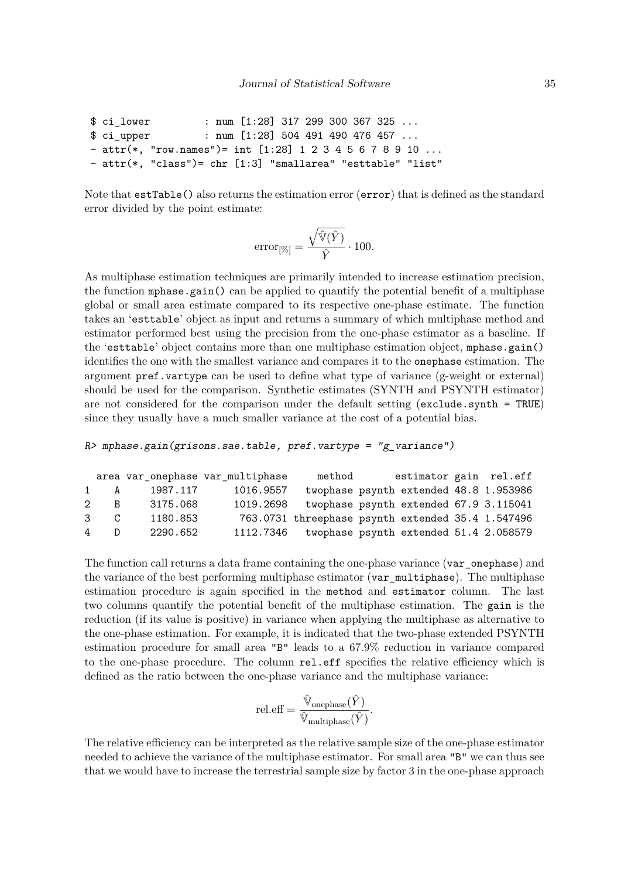```
$ ci_lower : num [1:28] 317 299 300 367 325 ...
$ ci_upper : num [1:28] 504 491 490 476 457 ...
- attr(*, "row.names")= int [1:28] 1 2 3 4 5 6 7 8 9 10 ...
- attr(*, "class")= chr [1:3] "smallarea" "esttable" "list"
```
Note that  $\texttt{estTable}()$  also returns the estimation error  $(\texttt{error})$  that is defined as the standard error divided by the point estimate:

$$
\text{error}_{[\%]} = \frac{\sqrt{\hat{\mathbb{V}}(\hat{Y})}}{\hat{Y}} \cdot 100.
$$

As multiphase estimation techniques are primarily intended to increase estimation precision, the function mphase.gain() can be applied to quantify the potential benefit of a multiphase global or small area estimate compared to its respective one-phase estimate. The function takes an 'esttable' object as input and returns a summary of which multiphase method and estimator performed best using the precision from the one-phase estimator as a baseline. If the 'esttable' object contains more than one multiphase estimation object, mphase.gain() identifies the one with the smallest variance and compares it to the onephase estimation. The argument pref.vartype can be used to define what type of variance (g-weight or external) should be used for the comparison. Synthetic estimates (SYNTH and PSYNTH estimator) are not considered for the comparison under the default setting (exclude.synth = TRUE) since they usually have a much smaller variance at the cost of a potential bias.

```
R> mphase.gain(grisons.sae.table, pref.vartype = "g_variance")
```

|                |                             |          | area var_onephase var_multiphase | method                                            | estimator gain rel.eff                 |  |
|----------------|-----------------------------|----------|----------------------------------|---------------------------------------------------|----------------------------------------|--|
|                | 1 A                         | 1987.117 | 1016.9557                        |                                                   | twophase psynth extended 48.8 1.953986 |  |
|                | 2 B                         | 3175.068 | 1019.2698                        |                                                   | twophase psynth extended 67.9 3.115041 |  |
|                | $\mathcal{S}$ $\mathcal{C}$ | 1180.853 |                                  | 763.0731 threephase psynth extended 35.4 1.547496 |                                        |  |
| $\overline{4}$ | D                           | 2290.652 | 1112.7346                        |                                                   | twophase psynth extended 51.4 2.058579 |  |

The function call returns a data frame containing the one-phase variance (var\_onephase) and the variance of the best performing multiphase estimator (var\_multiphase). The multiphase estimation procedure is again specified in the method and estimator column. The last two columns quantify the potential benefit of the multiphase estimation. The gain is the reduction (if its value is positive) in variance when applying the multiphase as alternative to the one-phase estimation. For example, it is indicated that the two-phase extended PSYNTH estimation procedure for small area "B" leads to a 67.9% reduction in variance compared to the one-phase procedure. The column rel.eff specifies the relative efficiency which is defined as the ratio between the one-phase variance and the multiphase variance:

$$
\text{rel.eff} = \frac{\hat{\mathbb{V}}_{\text{onephase}}(\hat{Y})}{\hat{\mathbb{V}}_{\text{multipbase}}(\hat{Y})}.
$$

The relative efficiency can be interpreted as the relative sample size of the one-phase estimator needed to achieve the variance of the multiphase estimator. For small area "B" we can thus see that we would have to increase the terrestrial sample size by factor 3 in the one-phase approach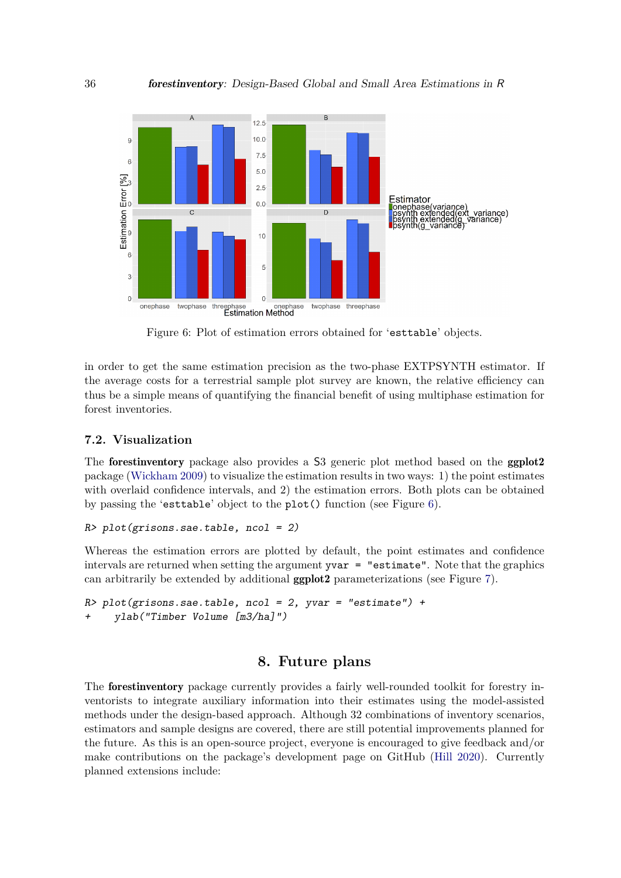<span id="page-35-0"></span>

Figure 6: Plot of estimation errors obtained for 'esttable' objects.

in order to get the same estimation precision as the two-phase EXTPSYNTH estimator. If the average costs for a terrestrial sample plot survey are known, the relative efficiency can thus be a simple means of quantifying the financial benefit of using multiphase estimation for forest inventories.

## **7.2. Visualization**

The **forestinventory** package also provides a S3 generic plot method based on the **ggplot2** package [\(Wickham 2009\)](#page-39-5) to visualize the estimation results in two ways: 1) the point estimates with overlaid confidence intervals, and 2) the estimation errors. Both plots can be obtained by passing the 'esttable' object to the plot() function (see Figure [6\)](#page-35-0).

```
R> plot(grisons.sae.table, ncol = 2)
```
Whereas the estimation errors are plotted by default, the point estimates and confidence intervals are returned when setting the argument yvar = "estimate". Note that the graphics can arbitrarily be extended by additional ggplot2 parameterizations (see Figure [7\)](#page-36-3).

```
R> plot(grisons.sae.table, ncol = 2, yvar = "estimate") +
+ ylab("Timber Volume [m3/ha]")
```
## **8. Future plans**

The forestinventory package currently provides a fairly well-rounded toolkit for forestry inventorists to integrate auxiliary information into their estimates using the model-assisted methods under the design-based approach. Although 32 combinations of inventory scenarios, estimators and sample designs are covered, there are still potential improvements planned for the future. As this is an open-source project, everyone is encouraged to give feedback and/or make contributions on the package's development page on GitHub [\(Hill 2020\)](#page-37-12). Currently planned extensions include: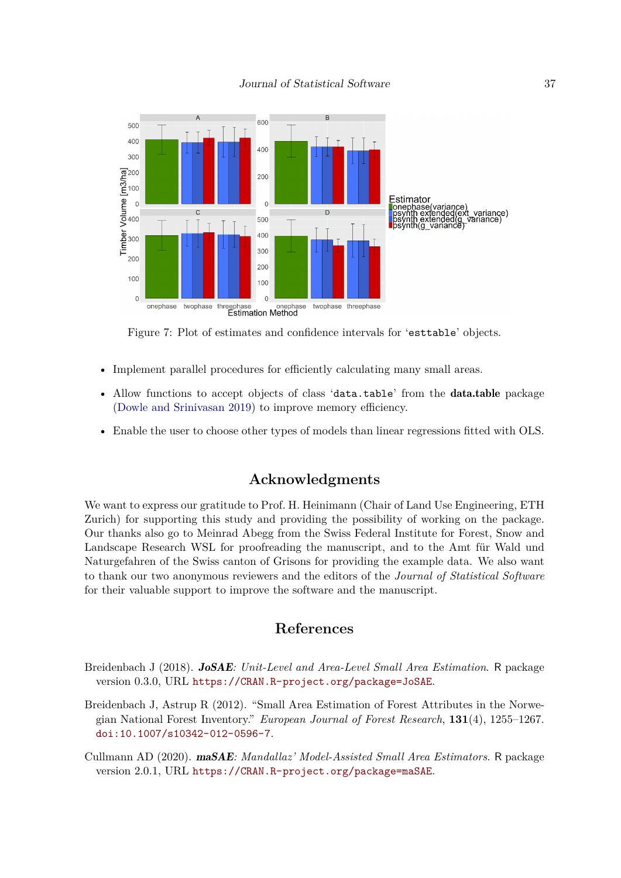<span id="page-36-3"></span>

Figure 7: Plot of estimates and confidence intervals for 'esttable' objects.

- Implement parallel procedures for efficiently calculating many small areas.
- Allow functions to accept objects of class 'data.table' from the data.table package [\(Dowle and Srinivasan 2019\)](#page-37-13) to improve memory efficiency.
- Enable the user to choose other types of models than linear regressions fitted with OLS.

## **Acknowledgments**

We want to express our gratitude to Prof. H. Heinimann (Chair of Land Use Engineering, ETH Zurich) for supporting this study and providing the possibility of working on the package. Our thanks also go to Meinrad Abegg from the Swiss Federal Institute for Forest, Snow and Landscape Research WSL for proofreading the manuscript, and to the Amt für Wald und Naturgefahren of the Swiss canton of Grisons for providing the example data. We also want to thank our two anonymous reviewers and the editors of the *Journal of Statistical Software* for their valuable support to improve the software and the manuscript.

## **References**

- <span id="page-36-1"></span>Breidenbach J (2018). JoSAE*: Unit-Level and Area-Level Small Area Estimation*. R package version 0.3.0, URL <https://CRAN.R-project.org/package=JoSAE>.
- <span id="page-36-0"></span>Breidenbach J, Astrup R (2012). "Small Area Estimation of Forest Attributes in the Norwegian National Forest Inventory." *European Journal of Forest Research*, **131**(4), 1255–1267. [doi:10.1007/s10342-012-0596-7](https://doi.org/10.1007/s10342-012-0596-7).
- <span id="page-36-2"></span>Cullmann AD (2020). maSAE*: Mandallaz' Model-Assisted Small Area Estimators*. R package version 2.0.1, URL <https://CRAN.R-project.org/package=maSAE>.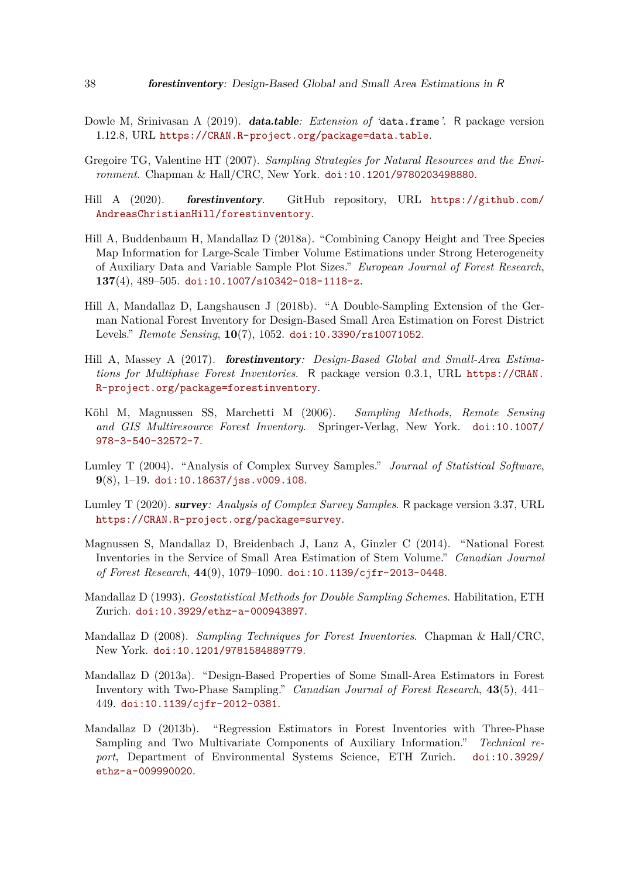- <span id="page-37-13"></span>Dowle M, Srinivasan A (2019). data.table*: Extension of '*data.frame*'*. R package version 1.12.8, URL <https://CRAN.R-project.org/package=data.table>.
- <span id="page-37-0"></span>Gregoire TG, Valentine HT (2007). *Sampling Strategies for Natural Resources and the Environment*. Chapman & Hall/CRC, New York. [doi:10.1201/9780203498880](https://doi.org/10.1201/9780203498880).
- <span id="page-37-12"></span>Hill A (2020). forestinventory. GitHub repository, URL [https://github.com/](https://github.com/AndreasChristianHill/forestinventory) [AndreasChristianHill/forestinventory](https://github.com/AndreasChristianHill/forestinventory).
- <span id="page-37-10"></span>Hill A, Buddenbaum H, Mandallaz D (2018a). "Combining Canopy Height and Tree Species Map Information for Large-Scale Timber Volume Estimations under Strong Heterogeneity of Auxiliary Data and Variable Sample Plot Sizes." *European Journal of Forest Research*, **137**(4), 489–505. [doi:10.1007/s10342-018-1118-z](https://doi.org/10.1007/s10342-018-1118-z).
- <span id="page-37-8"></span>Hill A, Mandallaz D, Langshausen J (2018b). "A Double-Sampling Extension of the German National Forest Inventory for Design-Based Small Area Estimation on Forest District Levels." *Remote Sensing*, **10**(7), 1052. [doi:10.3390/rs10071052](https://doi.org/10.3390/rs10071052).
- <span id="page-37-7"></span>Hill A, Massey A (2017). forestinventory*: Design-Based Global and Small-Area Estimations for Multiphase Forest Inventories*. R package version 0.3.1, URL [https://CRAN.](https://CRAN.R-project.org/package=forestinventory) [R-project.org/package=forestinventory](https://CRAN.R-project.org/package=forestinventory).
- <span id="page-37-1"></span>Köhl M, Magnussen SS, Marchetti M (2006). *Sampling Methods, Remote Sensing and GIS Multiresource Forest Inventory*. Springer-Verlag, New York. [doi:10.1007/](https://doi.org/10.1007/978-3-540-32572-7) [978-3-540-32572-7](https://doi.org/10.1007/978-3-540-32572-7).
- <span id="page-37-5"></span>Lumley T (2004). "Analysis of Complex Survey Samples." *Journal of Statistical Software*, **9**(8), 1–19. [doi:10.18637/jss.v009.i08](https://doi.org/10.18637/jss.v009.i08).
- <span id="page-37-6"></span>Lumley T (2020). survey*: Analysis of Complex Survey Samples*. R package version 3.37, URL <https://CRAN.R-project.org/package=survey>.
- <span id="page-37-4"></span>Magnussen S, Mandallaz D, Breidenbach J, Lanz A, Ginzler C (2014). "National Forest Inventories in the Service of Small Area Estimation of Stem Volume." *Canadian Journal of Forest Research*, **44**(9), 1079–1090. [doi:10.1139/cjfr-2013-0448](https://doi.org/10.1139/cjfr-2013-0448).
- <span id="page-37-11"></span>Mandallaz D (1993). *Geostatistical Methods for Double Sampling Schemes*. Habilitation, ETH Zurich. [doi:10.3929/ethz-a-000943897](https://doi.org/10.3929/ethz-a-000943897).
- <span id="page-37-2"></span>Mandallaz D (2008). *Sampling Techniques for Forest Inventories*. Chapman & Hall/CRC, New York. [doi:10.1201/9781584889779](https://doi.org/10.1201/9781584889779).
- <span id="page-37-3"></span>Mandallaz D (2013a). "Design-Based Properties of Some Small-Area Estimators in Forest Inventory with Two-Phase Sampling." *Canadian Journal of Forest Research*, **43**(5), 441– 449. [doi:10.1139/cjfr-2012-0381](https://doi.org/10.1139/cjfr-2012-0381).
- <span id="page-37-9"></span>Mandallaz D (2013b). "Regression Estimators in Forest Inventories with Three-Phase Sampling and Two Multivariate Components of Auxiliary Information." *Technical report*, Department of Environmental Systems Science, ETH Zurich. [doi:10.3929/](https://doi.org/10.3929/ethz-a-009990020) [ethz-a-009990020](https://doi.org/10.3929/ethz-a-009990020).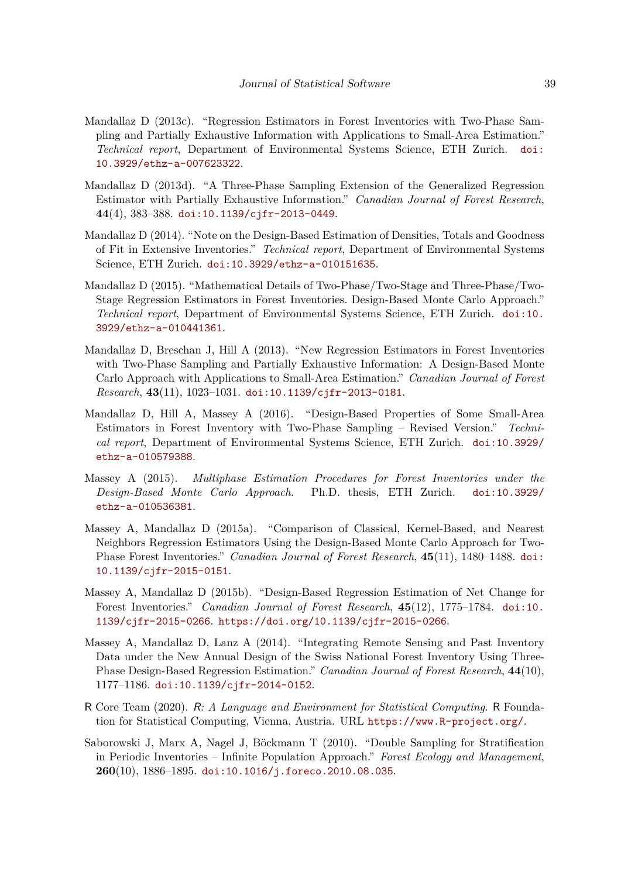- <span id="page-38-9"></span>Mandallaz D (2013c). "Regression Estimators in Forest Inventories with Two-Phase Sampling and Partially Exhaustive Information with Applications to Small-Area Estimation." *Technical report*, Department of Environmental Systems Science, ETH Zurich. [doi:](https://doi.org/10.3929/ethz-a-007623322) [10.3929/ethz-a-007623322](https://doi.org/10.3929/ethz-a-007623322).
- <span id="page-38-1"></span>Mandallaz D (2013d). "A Three-Phase Sampling Extension of the Generalized Regression Estimator with Partially Exhaustive Information." *Canadian Journal of Forest Research*, **44**(4), 383–388. [doi:10.1139/cjfr-2013-0449](https://doi.org/10.1139/cjfr-2013-0449).
- <span id="page-38-8"></span>Mandallaz D (2014). "Note on the Design-Based Estimation of Densities, Totals and Goodness of Fit in Extensive Inventories." *Technical report*, Department of Environmental Systems Science, ETH Zurich. [doi:10.3929/ethz-a-010151635](https://doi.org/10.3929/ethz-a-010151635).
- <span id="page-38-10"></span>Mandallaz D (2015). "Mathematical Details of Two-Phase/Two-Stage and Three-Phase/Two-Stage Regression Estimators in Forest Inventories. Design-Based Monte Carlo Approach." *Technical report*, Department of Environmental Systems Science, ETH Zurich. [doi:10.](https://doi.org/10.3929/ethz-a-010441361) [3929/ethz-a-010441361](https://doi.org/10.3929/ethz-a-010441361).
- <span id="page-38-2"></span>Mandallaz D, Breschan J, Hill A (2013). "New Regression Estimators in Forest Inventories with Two-Phase Sampling and Partially Exhaustive Information: A Design-Based Monte Carlo Approach with Applications to Small-Area Estimation." *Canadian Journal of Forest Research*, **43**(11), 1023–1031. [doi:10.1139/cjfr-2013-0181](https://doi.org/10.1139/cjfr-2013-0181).
- <span id="page-38-5"></span>Mandallaz D, Hill A, Massey A (2016). "Design-Based Properties of Some Small-Area Estimators in Forest Inventory with Two-Phase Sampling – Revised Version." *Technical report*, Department of Environmental Systems Science, ETH Zurich. [doi:10.3929/](https://doi.org/10.3929/ethz-a-010579388) [ethz-a-010579388](https://doi.org/10.3929/ethz-a-010579388).
- <span id="page-38-7"></span>Massey A (2015). *Multiphase Estimation Procedures for Forest Inventories under the Design-Based Monte Carlo Approach*. Ph.D. thesis, ETH Zurich. [doi:10.3929/](https://doi.org/10.3929/ethz-a-010536381) [ethz-a-010536381](https://doi.org/10.3929/ethz-a-010536381).
- <span id="page-38-11"></span>Massey A, Mandallaz D (2015a). "Comparison of Classical, Kernel-Based, and Nearest Neighbors Regression Estimators Using the Design-Based Monte Carlo Approach for Two-Phase Forest Inventories." *Canadian Journal of Forest Research*, **45**(11), 1480–1488. [doi:](https://doi.org/10.1139/cjfr-2015-0151) [10.1139/cjfr-2015-0151](https://doi.org/10.1139/cjfr-2015-0151).
- <span id="page-38-6"></span>Massey A, Mandallaz D (2015b). "Design-Based Regression Estimation of Net Change for Forest Inventories." *Canadian Journal of Forest Research*, **45**(12), 1775–1784. [doi:10.](https://doi.org/10.1139/cjfr-2015-0266) [1139/cjfr-2015-0266](https://doi.org/10.1139/cjfr-2015-0266). <https://doi.org/10.1139/cjfr-2015-0266>.
- <span id="page-38-3"></span>Massey A, Mandallaz D, Lanz A (2014). "Integrating Remote Sensing and Past Inventory Data under the New Annual Design of the Swiss National Forest Inventory Using Three-Phase Design-Based Regression Estimation." *Canadian Journal of Forest Research*, **44**(10), 1177–1186. [doi:10.1139/cjfr-2014-0152](https://doi.org/10.1139/cjfr-2014-0152).
- <span id="page-38-4"></span>R Core Team (2020). R*: A Language and Environment for Statistical Computing*. R Foundation for Statistical Computing, Vienna, Austria. URL <https://www.R-project.org/>.
- <span id="page-38-0"></span>Saborowski J, Marx A, Nagel J, Böckmann T (2010). "Double Sampling for Stratification in Periodic Inventories – Infinite Population Approach." *Forest Ecology and Management*, **260**(10), 1886–1895. [doi:10.1016/j.foreco.2010.08.035](https://doi.org/10.1016/j.foreco.2010.08.035).